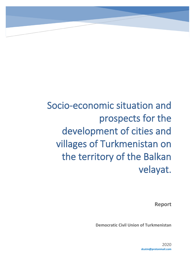**Report**

**Democratic Civil Union of Turkmenistan**

2020 **dcutm@protonmail.com**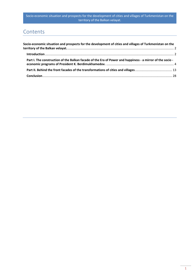# **Contents**

| Socio-economic situation and prospects for the development of cities and villages of Turkmenistan on the  |  |
|-----------------------------------------------------------------------------------------------------------|--|
|                                                                                                           |  |
| Part I. The construction of the Balkan facade of the Era of Power and happiness - a mirror of the socio - |  |
|                                                                                                           |  |
|                                                                                                           |  |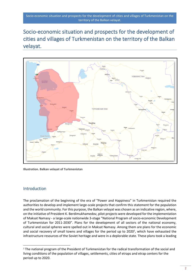<span id="page-2-0"></span>

**Illustration. Balkan velayat of Turkmenistan**

## <span id="page-2-1"></span>Introduction

The proclamation of the beginning of the era of "Power and Happiness" in Turkmenistan required the authorities to develop and implement large-scale projects that confirm this statement for the population and the world community. For this purpose, the Balkan velayat was chosen as an indicative region, where, on the initiative of President K. Berdimukhamedov, pilot projects were developed for the implementation of Maksat Namasy - a large-scale nationwide 3-stage "National Program of socio-economic Development of Turkmenistan for 2011-2030". Plans for the development of all sectors of the national economy, cultural and social spheres were spelled out in Maksat Namasy. Among them are plans for the economic and social recovery of small towns and villages for the period up to 2020<sup>1</sup>, which have exhausted the infrastructure resources of the Soviet heritage and were in a deplorable state. These plans took a leading

<sup>&</sup>lt;sup>1</sup> The national program of the President of Turkmenistan for the radical transformation of the social and living conditions of the population of villages, settlements, cities of etraps and etrap centers for the period up to 2020.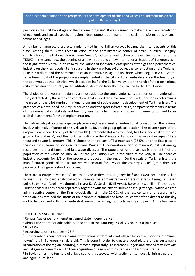position in the first two stages of the national program<sup>2</sup>. It was planned to make the active interrelation of economic and social aspects of regional development dominant in the social transformations of small towns and villages.

A number of large-scale projects implemented in the Balkan velayat became significant events of this time. Among them is the reconstruction of the administrative center of etrap (district) Esenguly, construction of the National Tourist Zone "Avaza", radical reconstruction of the existing capacities of the TKNPZ. In the same row, the opening of a new airport and a new International Seaport of Turkmenbashi, the laying of the North-South railway, the launch of innovative enterprises of the gas and petrochemical industry on the Krasnovodsk Peninsula and in the Kara-Bogaz-Gol zone, the construction of the Turkmen Lake in Karakum and the construction of an innovative village on its shore, which began in 2020. At the same time, most of the projects were implemented in the city of Turkmenbashi and on the territory of the eponymous etrap (district), which occupies half of the Balkan velayat to the north of the transnational railway crossing the country in the latitudinal direction from the Caspian Sea to the Amu Darya.

The choice of the western region as an illustration to the topic under consideration of the undertaken study is dictated by the same considerations that guided the Government of Turkmenistan in determining the place for the pilot run-in of national programs of socio-economic development of Turkmenistan. The presence of a developed industry, production and transport infrastructure, compact settlements in terms of the number of inhabitants and territory, ensured a high speed of project implementation and lower capital investments for their implementation.

The Balkan velayat occupies a special place among the administrative-territorial formations of the regional level. A distinctive feature of this velayat is its favorable geographical location. The eastern part of the Caspian Sea, where the city of Krasnovodsk (Turkmenbashi) was founded, has long been called the sea gate of Central Asia<sup>3</sup>, and the Turkmen Balkans – the Primorsky Territory. The velayat occupies 139.3 thousand square kilometers. This is almost the third part of Turkmenistan (28.5%) and the first place in the country in terms of occupied territory. Western Turkmenistan is rich in minerals<sup>4</sup>, natural energy resources, flora and fauna, and landscape diversity. The population of the velayat is one tenth<sup>5</sup> of the population of the whole country. 4/5 of the population lives in the cities of the velayat. The share of industry accounts for 2/3 of the products produced in the region. On the scale of Turkmenistan, the manufactured goods of the Balkan velayat account for 22% of the country's GDP<sup>6</sup> (gross domestic product). This figure is steadily growing.

There are six etraps, seven cities<sup>7</sup>, 16 urban-type settlements, 40 gengeshes $^{\rm 8}$  and 136 villages in the Balkan velayat. The proposed analytical work presents the administrative centers of etraps: Esenguly (Hasan Kuli), Etrek (Kizil Atrek), Makhtumkuli (Kara Kala), Serdar (Kizil Arvat), Bereket (Kazanjik). The etrap of Turkmenbashi is considered separately together with the city of Turkmenbashi (Dzhanga), which was the administrative center of the Krasnovodsk district in the 20-50s of the last century and, according to tradition, has retained the status of the economic, cultural and historical center of the district to this day (not to be confused with Turkmenbashi-Krasnovodsk, a neighboring large city and port). At the beginning

<sup>2</sup> 2011-2015 and 2016-2020.

<sup>3</sup> Central Asia-since Turkmenistan gained state independence.

<sup>4</sup> Almost the entire periodic table is presented in the Kara-Bogaz-Gol Bay on the Caspian Sea.

<sup>5</sup> 8 to 12%.

 $6$  According to other sources  $-25%$ 

<sup>7</sup> Their number is constantly growing by renaming settlements and villages by local authorities into "small towns", or, in Turkmen, - shakherchi. This is done in order to create a good picture of the sustainable urbanization of the region (country), but most importantly - to increase budgets and expand staff in towns and villages in connection with their acquisition of a new administrative and territorial status.

<sup>&</sup>lt;sup>8</sup> In Soviet times, the territory of village councils (possovets) with settlements, industrial infrastructure and agricultural land.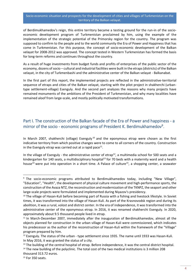of Berdimukhamedov's reign, this entire territory became a testing ground for the run-in of the socioeconomic development program of Turkmenistan proclaimed by him, using the example of the implementation of the strategic potential of the Primorsky region for the country. The program was supposed to confirm to the people and to the world community the Era of Power and Happiness that has come in Turkmenistan. For this purpose, the concept of socio-economic development of the Balkan velayat for 2008-2012 was approved. The concept tested in Western Turkmenistan has formed the basis for long-term reforms and continues throughout the country.

As a result of huge investments from budget funds and profits of enterprises of the public sector of the economy, dozens of socio – cultural and industrial facilities were built in the etraps (districts) of the Balkan velayat, in the city of Turkmenbashi and the administrative center of the Balkan velayat - Balkanabat.

In the first part of this report, the implemented projects are reflected in the administrative-territorial sequence of etraps and cities of the Balkan velayat, starting with the pilot project in shakherchi (urbantype settlement-village) Esenguly. And the second part analyzes the reasons why many projects have remained monuments of the ambitions of the President of Turkmenistan, and why many localities have remained aloof from large-scale, and mostly politically motivated transformations.

# <span id="page-4-0"></span>Part I. The construction of the Balkan facade of the Era of Power and happiness - a mirror of the socio - economic programs of President K. Berdimukhamedov<sup>9</sup>.

In March 2007, shakherchi (village) Esenguly<sup>10</sup> and the eponymous etrap were chosen as the first indicative territory from which positive changes were to come to all corners of the country. Construction in the Esenguly etrap was carried out at a rapid pace<sup>11</sup>.

In the village of Esenguly - the administrative center of etrap<sup>12</sup>, a multimedia school for 500 seats and a kindergarten for 140 seats, a multidisciplinary hospital<sup>13</sup> for 70 beds with a maternity ward and a health house<sup>14</sup> were put into operation in a short time. A Palace of culture<sup>15</sup>, a shopping center, a seawater

<sup>&</sup>lt;sup>9</sup> The socio-economic programs attributed to Berdimukhamedov today, including "New Village", "Education", "Health", the development of physical culture movement and high-performance sports, the construction of the Avaza NTZ, the reconstruction and modernization of the TKNPZ, the seaport and other large-scale projects were formulated and implemented during Niyazov's presidency.

<sup>&</sup>lt;sup>10</sup> The village of Hasan-Kuli before becoming part of Russia with a fishing and livestock lifestyle. In Soviet times, it was transformed into the village of Hasan-Kuli. As part of the Krasnovodsk region and during its abolition, it was a rural, volost and district center. In the era of independence, it was transformed into the administrative center of the eponymous etrap. In 2016, it was renamed shakherchi Esenguly. In 2020, approximately about 9.5 thousand people lived in etrap.

<sup>&</sup>lt;sup>11</sup> In March-December 2007, immediately after the inauguration of Berdimukhamedov, almost all the objects planned for construction in the urban village of Hasan-Kuli were commissioned, which indicates his predecessor as the author of the reconstruction of Hasan-Kuli within the framework of the "Village" program prepared by him.

<sup>&</sup>lt;sup>12</sup> Esenguly. The status of the urban - type settlement since 1935. The name until 1933 was Hasan-Kuli. In May 2016, it was granted the status of a city.

<sup>&</sup>lt;sup>13</sup> The building of the central hospital of etrap. Before independence, it was the central district hospital.

<sup>&</sup>lt;sup>14</sup> The new building of the polyclinic. The total cost of the two medical institutions is 3 million 208

thousand 313.72 euros.

<sup>&</sup>lt;sup>15</sup> For 350 seats.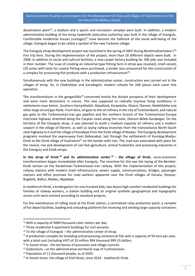desalination plant<sup>16</sup>, a stadium and a sports and recreation complex were built. In addition, a modern administrative building of the etrap hyakimlik (executive authority) was built in the village of Esenguly. Comfortable residential houses (cottages)<sup>17</sup> have become the hallmark of the social well-being of the village. Esenguly began to be called a symbol of the new Turkmen village.

The Esenguly etrap development project was launched in the spring of 2007 during Berdimukhamedov's<sup>18</sup> first trip here. During the implementation of the project, more than 20 different objects were built. In 2008, in addition to social and cultural facilities, a new carpet factory building for 300 jobs was included in their number. The issue of creating an industrial-type fishing farm in etrap was resolved, small vessels (20 units) with tools for coastal fishing were purchased, a tender was announced for the construction of a complex for processing fish products with a production infrastructure<sup>19</sup>.

Simultaneously with the new buildings in the administrative center, construction was carried out in the villages of etrap. So, in Chekishlyar and Karadegish, modern schools for 240 places each came into operation.

The transformations in the gengeshliks<sup>20</sup> concerned mainly the distant prospects of their development and were more declarative in nature. This was supposed to radically improve living conditions in settlements near Keimir, Southern Kamyshlydzh, Akpatlauk, Korpedzhe, Shatut, Ekerem, Nebitlitdzhe and other large oil and gas fields. From here, oil goes to the oil refinery in the city of Turkmenbashi, and natural gas goes to the Turkmenistan-Iran gas pipeline and the northern branch of the Turkmenistan-Europe interstate highway stretched along the Caspian coast along the route, Ekerem-Belek-Garabogaz. On the territory of the Esenguly etrap, it was planned to build a medium-capacity oil refinery and a modern seaport in the village of Ekerem, as well as laying railway branches from the transnational North-South steel highway to it and the village of Karadepe from the Etrek village of Madau. The Esenguly development programs involved the expressway from Balkanabat, laid through the settlements of Kumdag-Madau-Etrek to the Etrek village of Gudriolum<sup>21</sup> on the border with Iran. The road was associated with plans for the revival, rise and development of rain-fed agriculture, animal husbandry and processing industries in the Esenguly and Etrek etraps.

**In the etrap of Etrek <sup>22</sup> and its administrative center <sup>23</sup> - the village of Etrek,** socio-economic transformations began immediately after Esenguly. The incentive for this was the laying of the Bereket-Etrek section on the Kazakhstan-Turkmenistan-Iran railway. With the implementation of this project, railway stations with modern track infrastructure, power supply, communications, bridges, passenger stations and office premises for road workers appeared near the Etrek villages of Danata, Dovlyar, Bugdaily, Balkui, Madau, Akjadepe.

In shakherchi Etrek, a kindergarten for one hundred kids, two dozen high-comfort residential buildings for families of railway workers, a station building and an original symbolic geographical and topographic access arch were erected according to standard projects.

For the maintenance of rolling stock at the Etrek station, a centralized relay protection point, a complex of fan depot facilities, loading and unloading platforms for receiving and sending large-capacity containers

<sup>&</sup>lt;sup>16</sup> With a capacity of 3000 thousand cubic meters per day.

<sup>&</sup>lt;sup>17</sup> Three residential 4-apartment buildings for civil servants.

 $18$  To the village of Esenguly – the administrative center of etrap.

 $19$  A production complex for breeding and processing commercial fish with a capacity of 50 tons per year, with a total cost (including VAT) of 10 million 994 thousand 999 US dollars.

<sup>&</sup>lt;sup>20</sup> In Soviet times - the territories of possovets and village councils.

<sup>&</sup>lt;sup>21</sup> Güdürolum - on the administrative-territorial map of Turkmenistan.

<sup>&</sup>lt;sup>22</sup> Population of 11 thousand people, as of 2020.

<sup>&</sup>lt;sup>23</sup> In Soviet times, the village of Kizil-Atrek, since 2016 - shakherchi Etrek.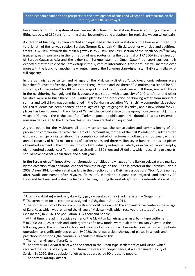have been built. In the system of engineering structures of the station, there is a turning circle with a lifting capacity of 280 tons for turning diesel locomotives and a platform for replacing wagon wheel pairs.

A checkpoint building has been erected and equipped at the Akyaila station on the border with Iran. The total length of the railway section Bereket (former Kazandzhik) - Etrek, together with side and additional tracks, is 325 km, of which the main highway is 256.5 km. The Etrek section of the North-South<sup>24</sup> railway is given great importance in the formation of new routes using the potential of TRACECA in the direction of Europe-Caucasus-Asia and the Uzbekistan-Turkmenistan-Iran-Oman-Qatar<sup>25</sup> transport corridor. It is expected that the role of the Etrek etrap in the system of international transport links will increase even more with the launch of another new route, namely, the Turkmenistan-Afghanistan-Tajikistan railway, at full capacity.

In the administrative center and villages of the Makhtumkuli etrap<sup>26</sup>, socio-economic reforms were launched four years after they began in the Esenguly etrap and shakherchi<sup>27</sup>. A multimedia school for 500 students, a kindergarten<sup>28</sup> for 80 visits and a sports school for 365 seats were built there, similar to those in the neighboring Esenguly and Etrek etraps. A gas station with a capacity of 240 cars/hour and other facilities were also built there. The Sumbar plant for the production of drinking water from mountain springs and soft drinks was commissioned in the Daikhan association "Yenishch". A comprehensive school for 170 students has been opened in the village of Gagel of gengeshlik Yankel, and a new school for 240 places has been opened in the village of Yankel (the central estate of the eponymous gengeshlik). In the village of Gerkez – the birthplace of the Turkmen poet and philosopher Makhtumkuli - a park ensemblemuseum dedicated to the Turkmen classic has been erected and equipped.

A great event for the Makhtumkuli etrap<sup>29</sup> center was the construction and commissioning of the production complex named after the Hero of Turkmenistan, mother of the first President of Turkmenistan Gurbansoltan Eje on its territory. The complex consisted of factories - clothing and footwear, with an annual capacity of half a million pairs of leather shoes and three million seven hundred thousand pieces of finished garments. The construction of a light industry enterprise, which, as expected, would employ eight hundred people, cost Turkmenistan six million 850 thousand US dollars, which, according to experts, should have paid off within three and a half years.

In the Serdar etrap<sup>30</sup>, innovative transformations of cities and villages of the Balkan velayat were marked by the diversion of an additional channel from the bridge on the 969th kilometer of the Karakum River in 2008. A new 38-kilometer canal was laid in the direction of the Daikhan associations "Goch", one named after Azadi, one named after Niyazov, "Purnuar", in order to expand the irrigated land here by 20 thousand hectares and water the fields of the neighboring Bereket etrap<sup>31</sup> for the intensification of crop

<sup>29</sup> The former village of Kara-Kala.

<sup>24</sup> Uzen (Kazakhstan) – Serkhetyaka – Kyzylgaya – Bereket - Etrek (Turkmenistan) – Gorgan (Iran).

<sup>&</sup>lt;sup>25</sup> The agreement on its creation was signed in Ashgabat in April, 2011.

<sup>&</sup>lt;sup>26</sup> The former district of Kara-Kala of the Krasnovodsk region with the administrative center in the village of Kara-Kala, which was renamed the village of Makhtumkuli, which received the status of a city (shakherchi) in 2016. The population is 14 thousand people.

<sup>&</sup>lt;sup>27</sup> At that time, the administrative center of the Makhtumkuli etrap was an urban - type settlement. <sup>28</sup> In 2008-2012, 25 schools and kindergartens of a new model were built in the Balkan Velayat. In the following years, the number of school and preschool education facilities under construction and put into operation has significantly decreased. By 2020, there was a clear shortage of places in schools and preschool institutions (the coronavirus pandemic showed this).

<sup>&</sup>lt;sup>30</sup> The former Kizil-Arvat district with the center in the urban-type settlement of Kizil-Arvat, which received the status of a city in 1935. During the years of independence, it was renamed the city of Serdar. By 2020, the population of etrap has approached 90 thousand people.

<sup>&</sup>lt;sup>31</sup> The former Kazanjik district.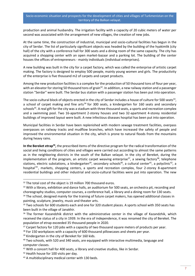production and animal husbandry. The irrigation facility with a capacity of 20 cubic meters of water per second was associated with the arrangement of new villages, the creation of new jobs.

At the same time, the construction of industrial, municipal and socio-cultural facilities has begun in the city of Serdar. The list of particularly significant objects was headed by the building of the hyakimlik (city hall) of the city with a conference hall for 300 seats and a dining room of the same capacity. The city has acquired a shopping center with an open market-bazaar and a parking lot. The building of the center houses the offices of entrepreneurs - mainly individuals (individual enterprises).

A new building was built in the city for a carpet factory, which was called the enterprise of artistic carpet making. The factory is designed to employ 500 people, mainly young women and girls. The productivity of the enterprise is five thousand m2 of carpets and carpet products.

Among the new production facilities is a complex for the production of 50 thousand tons of flour per year, with an elevator for storing 50 thousand tons of grain<sup>32</sup>. In addition, a new railway station and a passenger station "Serdar" were built. The Serdar bus station with a passenger station has been put into operation.

The socio-cultural block of objects erected in the city of Serdar includes a house of culture for 500 seats<sup>33</sup>, a school of carpet making and fine arts<sup>34</sup> for 300 seats, a kindergarten for 160 seats and secondary schools<sup>35</sup>. A real gift for the city was a stadium with three thousand seats, a sports and recreation complex and a swimming pool. Two 16-apartment 2-storey houses and two 32-apartment 4-storey residential buildings of improved layout were built. A new infectious diseases hospital has been put into operation.

Municipal facilities in Serdar have been replenished with modern sewage treatment facilities, overpass overpasses on railway tracks and mudflow branches, which have increased the safety of people and improved the environmental situation in the city, which is prone to natural floods from the mountains during heavy rains.

In the Bereket etrap<sup>36</sup>, the prescribed items of the directive program for the radical transformation of the social and living conditions of cities and villages were carried out according to almost the same patterns as in the neighboring districts in the south of the Balkan velayat. In the city of Bereket, during the implementation of the program, an artistic carpet weaving enterprise<sup>37</sup>, a sewing factory<sup>38</sup>, telephone stations, electric substations, a kindergarten<sup>39</sup>, secondary schools<sup>40</sup>, a cultural center<sup>41</sup>, a polyclinic<sup>42</sup>, a hospital<sup>43</sup>, markets, shopping centers, a sports and recreation complex, four 2-storey 8-apartment residential buildings and other industrial and socio-cultural facilities were put into operation. The new

<sup>&</sup>lt;sup>32</sup> The total cost of the object is 19 million 700 thousand euros.

<sup>&</sup>lt;sup>33</sup> With a library, exhibition and dance halls, an auditorium for 500 seats, an orchestra pit, recording and choreography studios, computer courses, a conference hall, a library and a dining room for 130 seats.

<sup>34</sup> The school, designed mainly for the training of future carpet makers, has opened additional classes in painting, sculpture, jewelry, music and theater arts.

<sup>&</sup>lt;sup>35</sup> Two schools for 600 students each and one for 320 student places. A sports school with 350 seats has been built in the village of Janakhir.

<sup>&</sup>lt;sup>36</sup> The former Kazandzhik district with the administrative center in the village of Kazandzhik, which received the status of a city in 1939. In the era of independence, it was renamed the city of Bereket. The population of etrap exceeded 35 thousand people in 2020.

 $37$  Carpet factory for 120 jobs with a capacity of two thousand square meters of products per year.

<sup>&</sup>lt;sup>38</sup> For 150 workplaces with a capacity of 600 thousand pillowcases and sheets per year.

<sup>&</sup>lt;sup>39</sup> Kindergarten in the city of Bereket for 160 kids.

 $40$  Two schools, with 520 and 340 seats, are equipped with interactive multimedia, language and computer classes.

<sup>&</sup>lt;sup>41</sup> With a concert hall for 400 seats, a library and creative studios, like in Serdar.

<sup>&</sup>lt;sup>42</sup> Health house for 100 visits per day.

<sup>43</sup> A multidisciplinary medical center with 130 beds.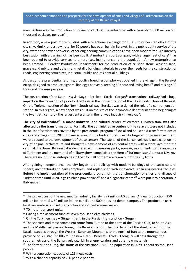manufacture was the production of iodine products at the enterprise with a capacity of 300 million 500 thousand packages per year<sup>44</sup>.

In addition, a new post office building with a telephone exchange for 1000 subscribers, an office of the city's hyakimlik, and a new hotel for 50 people has been built in Bereket. In the public utility service of the city, water and sewer networks, other engineering communications have been modernized. An intercity bus station with a parking lot has been built. A motor transport company with a large fleet of cars<sup>45</sup> has been opened to provide services to enterprises, institutions and the population. A new enterprise has been created - "Bereket Production Department" for the production of crushed stone, washed sand, gravel-sand mixture and other non-metallic building materials to cover the needs for the construction of roads, engineering structures, industrial, public and residential buildings.

As part of the presidential reforms, a poultry breeding complex was opened in the village in the Bereket etrap, designed to produce eight million eggs per year, keeping 50 thousand laying hens<sup>46</sup> and raising 400 thousand chickens per year.

The construction of the Uzen – Kyzyl – Kaya – Bereket – Etrek – Gorgan<sup>47</sup> transnational railway had a huge impact on the formation of priority directions in the modernization of the city infrastructure of Bereket. On the Turkmen section of the North-South railway, Bereket was assigned the role of a central junction station. In this regard, a new depot was built on the site of the locomotive depot built at the beginning of the twentieth century - the largest enterprise in the railway industry in velayat<sup>48</sup>.

**The city of Balkanabat<sup>49</sup>, a major industrial and cultural center** of Western Turkmenistan**, was also affected by the transformations.** Formally, the administrative centers of the velayats were not included in the list of settlements covered by the presidential program of social and household transformations of cities and villages until 2020. However, most of the budget funds, despite targeted program investment, were directed to the development of these centers. The capital of the Balkan velayat is no exception – a city of original architecture and thoughtful development of residential areas with a strict layout on the cardinal directions. Balkanabat is decorated with numerous parks, squares, monuments to the ancestors of Turkmens and the memorial of military glory named after the Hero of Turkmenistan Atamurat Niyazov. There are no industrial enterprises in the city – all of them are taken out of the city limits.

After gaining independence, the city began to be built up with modern buildings of the socio-cultural sphere, architectural and park complexes, and replenished with innovative urban engineering facilities. Before the implementation of the presidential program on the transformation of cities and villages of Turkmenistan until 2020, a gas turbine power plant<sup>50</sup> and a diagnostic center<sup>51</sup> were put into operation in Balkanabat.

<sup>44</sup> The project cost of the new medical industry facility is 22 million US dollars. Annual production: 250 million iodine sticks, 50 million iodine pencils and 500 thousand dental tampons. The production uses local raw materials – Turkmen cotton and iodine-bromine waters.

<sup>45</sup> 70 motor transport units.

<sup>46</sup> Having a replacement fund of seven thousand elite chickens.

 $47$  On the Turkmen map – Gürgen (Iran); in the Russian transcription - Gurgen.

<sup>&</sup>lt;sup>48</sup> The shortest and most convenient route from Europe to the ports of the Persian Gulf, to South Asia and the Middle East passes through the Bereket station. The total length of the steel route, from the Kazakh steppes through the Western Karakum Mountains to the north of Iran to the mountainous province of Gulistan, is 900 km. The new Uzen – Bereket – Etrek – Esenguly will pass through the southern etraps of the Balkan velayat, rich in energy carriers and other raw materials.

 $49$  The former Nebit-Dag, the status of the city since 1946. The population in 2029 is about 95 thousand people.

<sup>50</sup> With a generation capacity of 126 megawatts.

 $51$  With a channel capacity of 200 people per day.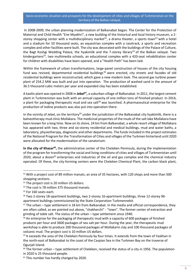In 2008-2009, the urban planning modernization of Balkanabat began. The Center for the Protection of Maternal and Child Health "Ene Myakhri", a new building of the historical and local history museum, a 2 storey shopping center with a multidisciplinary market<sup>52</sup>, a drama theater, a sports town<sup>53</sup> with a hotel and a stadium for 10 thousand seats, an equestrian complex with a racetrack, a sports and recreation complex and other facilities were built. The city was decorated with the buildings of the Palace of Culture, the Bagt Koshgi Wedding Palace, the hyakimlik and the 7-storey library<sup>54</sup> of the Balkan velayat. Two kindergartens<sup>55</sup>, two multimedia schools, an educational complex with a 420-seat rehabilitation center for children with disabilities have been opened, and a "Health Path" has been laid.

Within the framework of urban transformations, large-panel construction of houses of the city housing fund was revived, departmental residential buildings<sup>56</sup> were erected, city streets and facades of old residential buildings were reconstructed, which gave a new modern look. The second gas turbine power plant of 254.2 MW was built and put into operation. The production of washed sand in the amount of 36.5 thousand cubic meters per year and expanded clay has been established.

A kaolin plant was opened in 2008 in **Jebel<sup>57</sup> ,** a suburban village of Balkanabat. In 2011, the largest cement plant in Turkmenistan was built with an annual capacity of one million tons of finished product. In 2014, a plant for packaging therapeutic mud and sea salt<sup>58</sup> was launched. A pharmaceutical enterprise for the production of iodine products was also put into operation there.

In the vicinity of Jebel, on the territory<sup>59</sup> under the jurisdiction of the Balkanabat city hyakimlik, there is a balneotherapy mud clinic Mollakara. The medicinal properties of the muds of the salt lake Mollakara have been known for a long time. Now on its shore, 24 km from Balkanabat, a whole resort village of Mollakara has appeared with two, three and six-storey residential and medical buildings, mud and water baths, a laboratory, physiotherapy, diagnostic and other departments. The funds included in the project estimates of the National Program for the Transformation of Cities and villages of the Turkmen hinterland until 2020 were allocated for the modernization of the sanatorium.

In the city of Khazar<sup>60</sup>, the administrative center of the Cheleken Peninsula, during the implementation of the program for transforming the social and living conditions of cities and villages of Turkmenistan until 2020, about a dozen $61$  enterprises and industries of the oil and gas complex and the chemical industry operated. Of these, the city-forming centers were the Cheleken Chemical Plant, the carbon black plant,

<sup>52</sup> With a project cost of 89 million manats; an area of 35 hectares, with 120 shops and more than 500 shopping sections.

<sup>&</sup>lt;sup>53</sup> The project cost is 20 million US dollars.

<sup>&</sup>lt;sup>54</sup> The cost is 78 million 375 thousand manats.

<sup>&</sup>lt;sup>55</sup> For 160 seats each.

<sup>56</sup> Two 2-storey 18-apartment buildings, two 2-storey 16-apartment buildings, three 12-storey 96 apartment buildings commissioned by the State Corporation Turkmennebit.

 $57$  The urban – type settlement is 18 km from Balkanabat. In the media and official correspondence, they are often called, as we pointed out above, "shakherchi" - "town". The former center of extraction and grinding of table salt. The status of the urban – type settlement since 1940.

<sup>&</sup>lt;sup>58</sup> An enterprise for the packaging of therapeutic mud with a capacity of 600 packages of finished products per hour and 3600 packages of sea salt per hour. During the year, the therapeutic mud workshop is able to produce 200 thousand packages of Mollakarin clay and 100 thousand packages of volcanic mud. The project cost is 10 million US dollars.

<sup>&</sup>lt;sup>59</sup> It exceeds the area of the Cheleken Peninsula by four times. It extends from the town of Yaskhan in the north-east of Balkanabat to the coast of the Caspian Sea in the Turkmen Bay on the traverse of Ogurjali Island.

 $60$  The former urban – type settlement of Cheleken, received the status of a city in 1956. The population in 2020 is 25 thousand people.

 $61$  This number has hardly changed by 2020.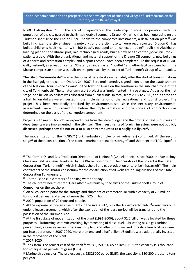NGDU Galkynyshneft<sup>62</sup>. In the era of independence, the leadership in social cooperation with the population of the city passed to the British-Arab oil company Dragon Oil, which has been operating on the Turkmen shelf since the end of 1999. Thanks to the company's investments, a desalination plant<sup>63</sup> was built in Khazar, the city engineering networks and the city hospital were reconstructed. Dragon Oil has built a children's health center with 400 beds<sup>64</sup>, equipped an oil collection point<sup>65</sup>, built the Aladzha oil loading pier and the Khazar port, laid technological roads, built a new health center (polyclinic) for 200 patients a day. With the organizational and material support of the Dragon Oil company, new buildings of a sports and recreation complex and a sports school have been completed. At the request of NGDU Galkynyshneft, a recreation center "Khazar", a kindergarten "Dostluk" and other facilities were built. The Khazar compressor station was built on the peninsula by the order of Turkmenneft Group of Companies.

**The city of Turkmenbashi<sup>66</sup>** was in the focus of perestroika immediately after the start of transformations in the Esenguly etrap center. On July 24, 2007, Berdimukhamedov signed a decree on the establishment of the National Tourist Zone "Avaza" in the town of Avaza on the seashore in the suburban zone of the city of Turkmenbashi. The sanatorium-resort project was implemented in three stages. As part of the first stage, one billion US dollars was allocated from public funds. In total, from 2007 to 2020, about three and a half billion dollars were invested in the implementation of the recreational and tourist project. The project has been repeatedly criticized by environmentalists, since the necessary environmental assessments were not carried out before the implementation and the choice of contractors was determined on the basis of the corruption component.

Projects with multibillion-dollar expenditures from the state budget and the profits of field ministries and departments were implemented in the city itself. **The investments of foreign investors were not publicly discussed, perhaps they did not exist at all or they amounted to a negligible figure<sup>67</sup> .**

The modernization of the TKNPZ<sup>68</sup> (Turkmenbashi complex of oil refineries) continued. At the second stage<sup>69</sup> of the reconstruction of the plant, a marine terminal for storage<sup>70</sup> and shipment<sup>71</sup> of LPG (liquefied

<sup>&</sup>lt;sup>62</sup> The former Oil and Gas Production Directorate of Leninneft (Chelekenneft), since 2000, the Vostochny Cheleken field has been developed by the Khazar consortium. The operator of the project is the State Corporation "Turkmenneft", which includes the oil and gas production enterprise"Khazarneft". The main contractors of the Khazar consortium for the construction of oil wells are drilling divisions of the State Corporation Turkmenneft.

<sup>&</sup>lt;sup>63</sup> 1.5 thousand cubic meters of drinking water per day.

<sup>&</sup>lt;sup>64</sup> The children's health center "Gara Altyn" was built by specialists of the Turkmenneft Group of Companies on the seashore.

<sup>&</sup>lt;sup>65</sup> An oil collection point for the storage and shipment of commercial oil with a capacity of 2.5 million tons of oil per year and a cost of more than \$25 million.

<sup>&</sup>lt;sup>66</sup> 2020, population of 70 thousand people.

 $67$  At the expense of foreign investments in the Avaza NTZ, only the Turkish yacht club "Yelken" was built under a lease agreement, which after the expiration of the lease period will be transferred to the possession of the Turkmen side.

 $68$  At the first stage of modernization of the plant (1991-2006), about \$1.5 billion was allocated for these purposes. Platforming, catalytic cracking, hydrotreating of diesel fuel, lubricating oils, a gas turbine power plant, a reverse osmosis desalination plant and other industrial and infrastructure facilities were put into operation. In 2007-2020, more than one and a half billion US dollars were additionally invested in the renovation of the plant.

<sup>69</sup> 2007-2020

 $70$  Tank farm. The project cost of the tank farm is 9,150,000 US dollars (USD), the capacity is 3 thousand tons of liquefied petroleum gases (LPG).

 $71$  Marine shipping pier. The project cost is 22326000 euros (EUR); the capacity is 180-200 thousand tons per year.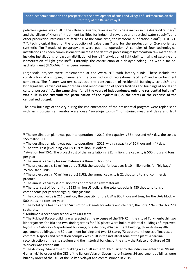petroleum gases) was built in the village of Kiyanly; reverse osmosis desalinators in the Avaza oil refinery<sup>72</sup> and the village of Kiyanly<sup>73</sup>; treatment facilities for industrial sewerage and recycled water supply<sup>74</sup>, and other production infrastructure facilities. At the same time, the kerosene purification plant<sup>75</sup>, ELOU-AT- $7^{76}$ , technological lines for the production of valve bags<sup>77</sup> and for the production of 2-axis-oriented synthetic film<sup>78</sup> made of polypropylene were put into operation. A complex of four technological installations has been commissioned to increase the depth of processing of hydrocarbon raw materials. It includes installations for vacuum distillation of fuel oil<sup>79</sup>, alkylation of light olefins, mixing of gasoline and isomerization of light gasoline<sup>80</sup>. Currently, the construction of a delayed coking unit with a tar deasphalting unit (UZK-DAG) $^{81}$  has been resumed.

Large-scale projects were implemented at the Avaza NTZ with factory funds. These include the construction of a shipping channel and the construction of recreational facilities<sup>82</sup> and entertainment complexes. The factory workers subsidized the construction of residential buildings, schools  $^{83}$  and kindergartens, carried out major repairs and reconstruction of sports facilities and buildings of social and cultural purpose<sup>84</sup> . **At the same time, for all the years of independence, only one residential building<sup>85</sup> was built in the city with the participation of the hyakimlik (i.e. the state) at the expense of the centralized budget.**

The new buildings of the city during the implementation of the presidential program were replenished with an industrial refrigerator warehouse "Sovaduju toplum" for storing meat and dairy and fruit

- <sup>73</sup> The desalination plant was put into operation in 2015, with a capacity of 50 thousand m<sup>3</sup> / day.
- <sup>74</sup> The total cost (excluding VAT) is 15.9 million US dollars.

<sup>76</sup> The annual capacity for raw materials is three million tons.

<sup>&</sup>lt;sup>72</sup> The desalination plant was put into operation in 2010, the capacity is 35 thousand m<sup>3</sup> / day, the cost is 156 million USD.

<sup>&</sup>lt;sup>75</sup> Aviation fuel TS-1. The project cost of the installation is \$11 million, the capacity is 500 thousand tons per year.

 $77$  The project cost is 11 million euros (EUR); the capacity for box bags is 10 million units for "big bags" -25 thousand units.

 $78$  The project cost is 40 million euros(EUR); the annual capacity is 21 thousand tons of commercial product.

 $79$  The annual capacity is 2 million tons of processed raw materials.

<sup>80</sup> The total cost of four units is \$533 million US dollars; the total capacity is 480 thousand tons of components per year for high-quality gasoline.

<sup>81</sup> The contract value is 211.6 million; the capacity for the UZK is 900 thousand tons, for the DAG block -500 thousand tons per year.

<sup>82</sup> The hotel type health center "Arzuv" for 900 seats for adults and children, the hotel "Nebitchi" for 220 seats, etc.

<sup>83</sup> Multimedia secondary school with 600 seats.

<sup>84</sup> The Rukhyet Palace building was erected at the expense of the TKNPZ in the city of Turkmenbashi, two kindergartens for 160 and two kindergartens for 320 places were built, residential buildings of improved layout: six 4-storey 24-apartment buildings, one 4-storey 40-apartment building, three 4-storey 48 apartment buildings, one 52-apartment building and two 12-storey 72-apartment houses of increased comfort. A sports and recreation complex was built in the industrial zone of the plant, a cardinal reconstruction of the city stadium and the historical building of the city – the Palace of Culture of Oil Workers was carried out.

<sup>85</sup> The 4-storey 24-apartment building was built in the 110th quarter by the individual enterprise "Resul Gurlyshyk" by order of the OKS of the Balkan Velayat. Seven more 4-storey 24-apartment buildings were built by order of the OKS of the Balkan Velayat and commissioned in 2019.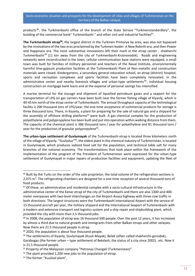products<sup>86</sup>, the Turkmenbashi office of the branch of the State Service "Turkmenstandardlary", the building of the commercial bank" Turkmenbashi " and other civil and industrial facilities<sup>87</sup>.

**The Turkmenbashi etrap<sup>88</sup>**, the largest district in the Turkmen Primorye by area, was also not bypassed by the innovations of the two eras proclaimed by the Turkmen leader: A New Rebirth era, and then Power and Happiness era. The most substantive innovations left their mark in the etrap center - shakherchi Turkmenbashi<sup>89</sup> (11 km away from the city of Turkmenbashi-Krasnovodsk). Roads and engineering networks were reconstructed in the town, cellular communication base stations were equipped, a small town was built for families of military personnel and teachers of the Naval Institute, environmentally harmful lime-gypsum production facilities at the Turkmenbashi Plant of Non-metallic and construction materials were closed. Kindergartens, a secondary general education school, an etrap (district) hospital, sports and recreation complexes and sports facilities have been completely renovated. In the administrative center and nearby livestock villages and urban-type settlements<sup>90</sup>, individual housing construction on mortgage bank loans and at the expense of personal savings has intensified.

A marine terminal for the storage and shipment of liquefied petroleum gases and a seaport for the transportation of LPG on gas carriers have been built near the former fishing village of Kiyanly, which is 40-45 km north of the etrap center of Turkmenbashi. The annual throughput capacity of the technological facility is 200 thousand tons of LPG/year, the one-time acceptance of commercial products for storage is three thousand tons. There, in Kiyanly, a plant for preparing for the sale of natural gas and a shipyard for the assembly of offshore drilling platforms<sup>91</sup> were built. A gas-chemical complex for the production of polyethylene and polypropylene has been built and put into operation within walking distance from them. The capacity of the chemical plant is 386 thousand tons / year for polyethylene and 81 thousand tons / year for the production of granular polypropylene<sup>92</sup>.

**The urban-type settlement of Guvlymayak** of the Turkmenbashi etrap is located three kilometers north of the village of Kiyanly. "Guvlyduz"<sup>93</sup>, the oldest plant in the chemical industry of Turkmenistan, is located in Guvlymayak, which produces iodized food salt for the population, and technical table salt for many branches of the national economy. The transformations that took place within the framework of the implementation of the program of the President of Turkmenistan were expressed for the urban-type settlement of Guvlymayak in major repairs of production facilities and equipment, updating the fleet of

<sup>86</sup> Built by the Turks on the order of the sole proprietor; the total volume of the refrigeration sections is 2,475 m<sup>3</sup>. The refrigerating chambers are designed for a one-time reception of several thousand tons of food products.

<sup>87</sup> Of these, an administrative and residential complex with a socio-cultural infrastructure in the administrative center of the Kenar etrap of the city of Turkmenbashi and there are also 1300-and 400 meter overpasses with two-level interchanges on the Airport-Avaza highway with three-row traffic in both directions. The largest structures were the Turkmenbashi International Airport with the service of 15 thousand aircraft per year, the military shipyard and the International Seaport of Turkmenbashi with a modern and extensive transport and logistics system and a ship repair and shipbuilding plant, which provided the city with more than 3.5 thousand jobs.

<sup>88</sup> In 2008, the population of etrap was 16 thousand 500 people. Over the past 12 years, it has increased by almost a third due to natural growth and immigrants from other Balkan etraps and other velayats. Now there are 21.5 thousand people in etrap.

<sup>89 2020,</sup> the population is about four thousand people.

<sup>90</sup> The settlements of Kiyanly, Guvlymayak (Kuuli-Mayak), Belek (often called shakherchi-gorodok), Garabogaz (the former urban – type settlement of Bekdash, the status of a city since 2002) , etc. Now it is 21.5 thousand people.

 $91$  Property of the Malaysian company "Petronas Charigali (Turkmenistan)".

 $92$  The plant provided 1,200 new jobs to the population of etrap.

<sup>93</sup> The former "Kuulisol plant".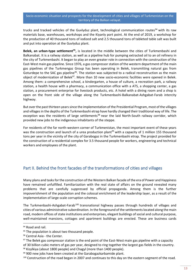trucks and tracked vehicles of the Guvlyduz plant, technological communication routes<sup>94</sup> with its raw materials base, warehouses, workshops and the Kiyanly port point. At the end of 2019, a workshop for the production of 40 thousand tons of iodized salt and 2.5 thousand tons of tableted table salt was built and put into operation at the Guvlyduz plant.

Belek, an urban-type settlement<sup>95</sup>, is located in the middle between the cities of Turkmenbashi and Balkanabat. It is a railway station, as well as a pipeline hub for pumping extracted oil to an oil refinery in the city of Turkmenbashi. It began to play an even greater role in connection with the construction of the East-West main gas pipeline. Since 1976, a gas compressor station of the western department of the main gas pipelines of the Turkmengaz Group has been operating in Belek, transmitting natural gas from Goturdepe to the SAC gas pipeline<sup>96</sup>. The station was subjected to a radical reconstruction as the main object of modernization of Belek<sup>97</sup>. More than 10 new socio-economic facilities were opened in Belek. Among them: a comprehensive school, a kindergarten, a house of culture, a recreation park, a railway station, a health house with a pharmacy, a communication office with a ATS, a shopping center, a gas station, a procurement enterprise for livestock products, etc. A hotel with a dining room and a shop is open on the front side of the village along the Turkmenbashi-Balkanabat-Ashgabat-Farab intercity highway.

But over the past thirteen years since the implementation of the Presidential Program, most of the villages and villages in the depths of the Turkmenbashi etrap have hardly changed their traditional way of life. The exception was the residents of large settlements<sup>98</sup> near the laid North-South railway corridor, which provided new jobs to the indigenous inhabitants of the steppe.

For residents of the far north-western corner of Turkmenistan, the most important event of these years was the construction and launch of a urea production plant<sup>99</sup> with a capacity of 1 million 155 thousand tons per year in the vicinity of the city of Garabogaz in the Turkmenbashi etrap. The project provided for the construction of a residential complex for 3.5 thousand people for workers, engineering and technical workers and employees of the plant.

## <span id="page-13-0"></span>Part II. Behind the front facades of the transformations of cities and villages

Many plans and tasks for the construction of the Western Balkan facade of the era of Power and Happiness have remained unfulfilled. Familiarization with the real state of affairs on the ground revealed many problems that are carefully suppressed by official propaganda. Among them is the further impoverishment of the population and the colossal enrichment of the leadership layer, as a result of the implementation of large-scale corruption schemes.

The Turkmenbashi-Ashgabat-Farab<sup>100</sup> transnational highway passes through hundreds of villages and cities of various administrative subordination. In the foreground of the settlements located along the main road, modern offices of state institutions and enterprises, elegant buildings of social and cultural purpose, well-maintained mansions, cottages and apartment buildings are erected. These are business cards

<sup>&</sup>lt;sup>94</sup> Road and rail.

 $95$  The population is about two thousand people.

<sup>96</sup> Central Asia - the Center.

<sup>&</sup>lt;sup>97</sup> The Belek gas compressor station is the end point of the East-West main gas pipeline with a capacity of 30 billion cubic meters of gas per year, designed to ring together the largest gas fields in the country.

<sup>98</sup> Kizylkiya (about 1800 people) and Chagyl (more than 1400 people).

<sup>99 900</sup> new jobs have been created at the Garabogazkarbamide plant.

<sup>&</sup>lt;sup>100</sup> Construction of the road began in 2007 and continues to this day on the eastern segment of the road.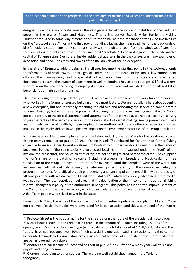designed to witness in concrete images the vast geography of the rich and joyful life of the Turkmen people in the era of Power and Happiness. This is impressive. Especially for foreigners visiting Turkmenistan. And in some way it corresponds to the truth. At least, for those citizens who live in cities on the "protocol street"<sup>101</sup> or in the first row of buildings facing the main road. As for the backyards of blissful-looking settlements, they contrast sharply with the picture seen from the windows of cars. And this is all along the entire route of the transnational "autobahn". Even in Ashgabat – the white marble capital of Turkmenistan. Even there, inside residential quarters, in the back alleys, are many examples of desolation and need. The cities and towns of the Balkan velayat are no exception.

**In the city of Esenguly,** which, being still a village, became the starting point in the socio-economic transformations of small towns and villages of Turkmenistan, the heads of hyakimlik, law enforcement officials, the management, leading specialists of education, health, culture, sports and other etrap departments became the owners of apartments in well-maintained houses and cottages. Oil field workers, fishermen on the coast and villagers employed in agriculture were not included in the privileged list of beneficiaries of high-comfort housing.

The new building of the carpet factory with 300 workplaces became a place of work for carpet workers who worked in the former distressed building of the carpet factory. We are not talking here about opening a new enterprise, but about partially renaming the old one and relocating the service personnel from it to a new building, but with the same patriarchal working methods and exhausting manual work. Young people, contrary to the official statement and statements of the state media, are not particularly in a hurry to join the ranks of the heroic successors of the national art of carpet making, seeing premature old age and untimely decline of health by the example of their mothers and grandmothers – professional carpet makers. So these jobs did not have a positive impact on the employment statistics of the etrap population.

Not a single project has been implemented in the fishing industry of etrap. Plans for the creation of coastal fishing teams remained on paper. 20 small fishing vessels $102$  purchased for fishermen of former fishing collective farms (or rather, honestly - aluminum boats with outboard motors) turned out in the hands of poachers. Poachers (the same socially unprotected local fishermen) worked under the "roof" of the hyakim, the prosecutor, the police chief of etrap, etc. for the negotiated part of the catch. They supplied the lion's share of the catch of valuable, including sturgeon, fish breeds and black caviar for free satisfaction of the etrap and higher authorities for five years until the complete wear of the watercraft and engines. Left without fishing gear, the fishermen joined the army of the unemployed. Also, the production complex for artificial breeding, processing and canning of commercial fish with a capacity of 50 tons per year with a total cost of 11 million US dollars<sup>103</sup>, which was widely advertised in the media, was not built. The local population believes that the deprivation of their income from traditional fishing is a well thought-out policy of the authorities in Ashgabat. This policy has led to the impoverishment of the Yomud clans of the Caspian region, which objectively represent a layer of internal opposition to the Akhal Tekin people who seized power in the state.

From 2007 to 2020, the issue of the construction of an oil refining petrochemical plant in Ekerem<sup>104</sup> was not resolved. Feasibility studies were developed for its construction, and this was the end of the matter.

<sup>101</sup> Protocol Street is the popular name for the streets along the route of the presidential motorcade.

<sup>102</sup> Motor boats (boats) of the Wellboat-63 brand in the amount of 20 units, including 15 units of the open type and 5 units of the closed type (with a cabin), for a total amount of 1,488,500 US dollars. The "boats" have not recouped even 10% of their cost during operation. Such transactions, and they cannot be counted in modern Turkmenistan, are classic criminal schemes of embezzlement of state funds that are being lowered from above.

<sup>&</sup>lt;sup>103</sup> Another criminal scheme of uncontrolled theft of public funds. After how many years will this plant pay off and bring income?

<sup>104</sup> Okarem - according to other sources. There are no well-established names in the Turkmen topography.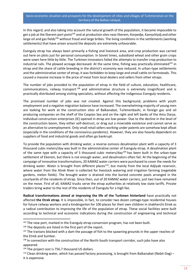In this regard, and also taking into account the natural growth of the population, it became impossible to get a job at the Ekerem port point<sup>105</sup> and at production sites near Ekerem, Korpedje, Kamyshlydj and other large oil and gas fields<sup>106</sup> without fraud and large bribes. The living conditions in the settlements (working settlements) that have arisen around the deposits are extremely unfavorable.

Esenguly etrap has always been primarily a fishing and livestock area, and crop production was carried out here on plots just for personal consumption. In Soviet times, subsidized wheat and other grain crops were sown here little by little. The Turkmen innovators failed the attempts to transfer crop production to industrial rails. The plowed acreage decreased. At the same time, fishing was practically eliminated $107$  in etrap and the share of cattle breeding in the district's economy was reduced. In urban-type settlements and the administrative center of etrap, it was forbidden to keep large and small cattle on farmsteads. This caused a massive increase in the price of meat from local dealers and sellers from other etraps.

The number of jobs provided to the population of etrap in the field of culture, education, healthcare, communications, railway transport<sup>108</sup> and administrative structure is extremely insignificant and is practically distributed among visiting specialists, without affecting the indigenous Esenguly residents.

The promised number of jobs was not created. Against this background, problems with youth employment and a negative migration balance have increased. The overwhelming majority of young men are looking for work at the construction sites of Balkanabat, Turkmenbashi, in foreign gas and oil producing companies on the shelf of the Caspian Sea and on the right and left banks of the Amu Darya. Individual construction enterprises (IE) opened in etrap are low-power. Due to the decline in the level of the construction boom, they either self-destruct, or drag out a miserable existence and cannot serve as an alternative to unemployment. Only small retail sellers working under patents are somehow kept afloat (especially in the conditions of the coronavirus pandemic). However, they are also heavily dependent on suppliers of food and industrial goods and often go bankrupt.

To provide the population with drinking water, a reverse osmosis desalination plant with a capacity of 3 thousand cubic meters/day was built in the administrative center of Esenguly etrap. A desalination plant of the same type with a capacity of 5 thousand cubic meters/day<sup>109</sup> has been built in the urban-type settlement of Ekerem, but there is not enough water, and desalinators often fail. At the beginning of the campaign of innovative transformations, 20 KAMAZ water carriers were purchased to cover the needs for drinking water. Water is brought from different places<sup>110</sup>, but mainly from the local Adjiyab reservoir, where water from the Atrek River is collected for livestock watering and irrigation farming (vegetable gardens, melon fields). The brought water is drained into the buried concrete pools arranged in the courtyards of the residents of etrap. Since then, out of 20 KAMAZ water carriers, just two have remained on the move. First of all, KAMAZ trucks serve the etrap authorities at relatively low state tariffs. Private traders bring water to the rest of the residents of Esenguly for a high fee.

**Radical transformations aimed at improving the life of the Turkmen hinterland** have practically not affected **the Etrek etrap.** It is impossible, in fact, to consider two dozen cottage-type residential houses for future railway workers and a kindergarten for 100 places for their own children in shakherchi Etrek as a radical contribution to improving the life of the population of etrap. These social facilities were built according to technical and economic indications during the construction of engineering and technical

<sup>106</sup> The deposits are listed in the first part of the report.

<sup>&</sup>lt;sup>105</sup> The new port, marked in the Esenguly etrap conversion program, has not been built.

 $107$  The Iranians blocked with a dam the passage of fish to the spawning grounds in the upper reaches of the Etrek and Sumbar.

<sup>108</sup> In connection with the construction of the North-South transport corridor, such jobs have also appeared.

<sup>&</sup>lt;sup>109</sup> The project cost is 756.7 thousand US dollars.

<sup>&</sup>lt;sup>110</sup> Clean drinking water, which has passed factory processing, is brought from Balkanabat (Nebit-Dag) it is expensive.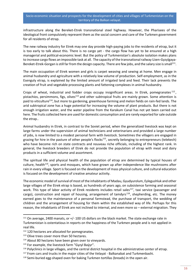infrastructure along the Bereket-Etrek transnational steel highway. However, the Pharisees of the ideological front compulsively represent them as the social concern and care of the Turkmen government for all residents of etrap.

The new railway industry for Etrek may one day provide high-paying jobs to the residents of etrap, but it is too early to talk about this. There is no cargo yet - the cargo flow has yet to be ensured at a high managerial and political-economic level. But the policy of Turkmenistan's absolute isolation makes plans to increase cargo flows an impossible task at all. The capacity of the transnational railway Uzen-Gyzylgaya-Bereket-Etrek-Gorgan is still far from the design capacity. There are few jobs, and the salary size is small<sup>111</sup>.

The main occupation of Etrek women and girls is carpet weaving and sewing at home. Men engage in animal husbandry and agriculture with a relatively low volume of production. Self-employment, as in the Esenguly etrap, is explained by the limited amount of irrigated land and feed. Their lack prevents the creation of fruit and vegetable processing plants and fattening complexes in animal husbandry.

Crops of wheat, industrial and fodder crops occupy insignificant areas. In Etrek, pomegranates <sup>112</sup>, pistachios, persimmons, figs, olives<sup>113</sup> and other subtropical fruits are mainly grown. Some attention is paid to viticulture<sup>114</sup>, but more to gardening, greenhouse farming and melon fields on rain-fed lands. The arid subtropical zone has a huge potential for increasing the volume of plant products. But there is not enough irrigation water, and the water pipeline from the Karakum Canal has not yet been carried out here. The fruits collected here are used for domestic consumption and are rarely exported for sale outside the etrap..

Animal husbandry in Etrek, in contrast to the Soviet period, when the generalized livestock was kept on large farms under the supervision of animal technicians and veterinarians and provided a large number of jobs, is now limited to a modest personal farm with livestock. Sometimes the villagers are engaged in grazing for hire in the pasture of other people's flocks<sup>115</sup>, secretly belonging to entrepreneurs (telekech) who have become rich on state contracts and nouveau riche officials, including of the highest rank. In general, the livestock breeders of Etrek do not provide the population of etrap with meat and dairy products in a sufficient volume and assortment.

The spiritual life and physical health of the population of etrap are determined by typical houses of culture, health<sup>116</sup>, sports and mosques, which have grown up after independence like mushrooms after rain in every village. Sport is focused on the development of mass physical culture, and cultural education is focused on the development of creative amateur activity.

The economic model of survival of most of the inhabitants of Madau, Gyudyurolum, Eylegushluk and other large villages of the Etrek etrap is based, as hundreds of years ago, on subsistence farming and seasonal work. This type of labor activity of Etrek residents includes retail sales<sup>117</sup>, taxi service (passenger and cargo), construction and repair of housing, arrangement of tamdyrs<sup>118</sup>, shepherding, etc. The money earned goes to the maintenance of a personal farmstead, the purchase of transport, the wedding of children and the arrangement of housing for them within the established way of life. Perhaps for this reason, the inhabitants of Etrek are not inclined to internal, and even more so – external migration. They

<sup>111</sup> On average, 2400 manats, or +/- 100 US dollars on the black market. The state exchange rate in Turkmenistan is ostentatious in reports on the happiness of the Turkmen people and is not applied in real life.

<sup>&</sup>lt;sup>112</sup> 120 hectares are allocated for pomegranates.

<sup>&</sup>lt;sup>113</sup> Olive trees cover more than 50 hectares.

<sup>&</sup>lt;sup>114</sup> About 80 hectares have been given over to vineyards.

<sup>115</sup> For example, the livestock farm "Gyzyl Baýyr".

<sup>116</sup> Polyclinics in large villages, and the central district hospital in the administrative center of etrap.

<sup>&</sup>lt;sup>117</sup> From cars and trucks in the major cities of the Velayat - Balkanabat and Turkmenbashi.

<sup>&</sup>lt;sup>118</sup> Semi-buried egg-shaped oven for baking Turkmen tortillas (breads) in the open air.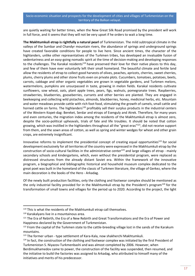are quietly waiting for better times, when the New Great Silk Road promised by the president will work in full force, and it seems that they will not be very upset if he orders to wait a long time.

**The Makhtumkuli etrap is rightfully a natural pearl** of Turkmenistan. The mild subtropical climate in the valleys of the Sumbar and Chandyr mountain rivers, the abundance of springs and underground springs have created favorable conditions for people to live here. Since ancient times, the character of the highlanders, unlike other representatives of the Turkmen tribes, has developed an invaluable fusion of sedentariness and an easy-going nomadic spirit at the time of decision-making and developing responses to the challenges. The Karakal residents<sup>119</sup> have preserved their love for their native places to this day, and few of them have ever voluntarily left their small homeland. The beautiful climate and fertile land allow the residents of etrap to collect good harvests of olives, peaches, apricots, cherries, sweet cherries, plums, cherry plums and other stone fruits even on private plots. Cucumbers, tomatoes, potatoes, beets, carrots, cabbage and other organic vegetables are grown in vegetable gardens, and Turkmen melons, watermelons, pumpkins are unsurpassed in taste, growing in melon fields. Karakal residents cultivate sunflowers, sow wheat, oats, plant apple trees, pears, figs, walnuts, pomegranate trees. Raspberries, strawberries, blueberries, gooseberries, currants and other berries are planted. They are engaged in beekeeping and collecting wild pistachios, almonds, blackberries, honey, medicinal herbs, etc. Mountain and water meadows provide cattle with rich foot food, stimulating the growth of camels, small cattle and horned cattle on farms. The highlanders<sup>120</sup> profitably sell their surplus products in the industrial centers of the Western Kopet-dag: Bereket, Serdar and etraps of Esenguly and Atrek. Therefore, for many years and even centuries, the migration index among the residents of the Makhtumkuli etrap is almost zero, despite the socio-political upheavals, trials of fate and life troubles. It should be noted that cotton growing, which was instilled in the highlanders throughout all the "great eras"<sup>121</sup>, did not receive support from them, and the sown areas of cotton, as well as spring and winter wedges for wheat and other grain crops, are extremely insignificant.

Innovative reforms to implement the presidential concept of creating equal opportunities<sup>122</sup> for social development exclusively for all territories of the country were expressed in the Makhtumkuli etrap by the construction of socio-cultural facilities in the administrative center<sup>123</sup> and large villages of etrap - mainly secondary schools and kindergartens, which, even without the presidential program, were replaced as distressed structures from the already distant Soviet era. Within the framework of the innovative program, a biographical and bibliographic historical and household museum complex dedicated to the great poet was built in the homeland of the classic of Turkmen literature, the village of Gerkez, where the main decoration is the books of the Hero - Arkadag.

Of the newly built production facilities, only the clothing and footwear complex should be mentioned as the only industrial facility provided for in the Makhtumkuli etrap by the President's program<sup>124</sup> for the transformation of small towns and villages for the period up to 2020. According to the project, the light

<sup>&</sup>lt;sup>119</sup> This is what the residents of the Makhtumkuli etrap call themselves.

<sup>120</sup> Karakalyans live in a mountainous area.

<sup>&</sup>lt;sup>121</sup> The Era of Rebirth, the Era of a New Rebirth and Great Transformations and the Era of Power and Happiness declared by the Government of Turkmenistan.

<sup>&</sup>lt;sup>122</sup> From the capital of the Turkmen state to the cattle-breeding village lost in the sands of the Karakum mountains.

<sup>&</sup>lt;sup>123</sup> The former urban - type settlement of Kara-Kala, now shakherchi Makhtumkuli.

<sup>124</sup> In fact, the construction of the clothing and footwear complex was initiated by the first President of Turkmenistan S. Niyazov-Turkmenbashi and was almost completed by 2006. However, when Berdimukhamedov came to power, the construction of the facility was suspended, then resumed, and

the initiative to build the factories was assigned to Arkadag, who attributed to himself many of the initiatives and merits of his predecessor.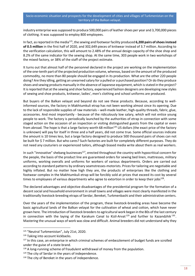industry enterprise was supposed to produce 500,000 pairs of leather shoes per year and 3,700,000 pieces of clothing. It was supposed to employ 800 employees.

In fact, as reported in the media<sup>125</sup>, the sewing and footwear facility produced **6,200 pairs of shoes instead of 0.5 million** in the first half of 2020, and 302,649 pieces of knitwear instead of 3.7 million. According to the verification calculation, this will amount to 2.48% of the annual design capacity of the shoe shop and 8.2% of the same indicator for the sewing shop. At the same time, 303 people work in two workshops of the mixed factory, or 38% of the staff of the project estimate.

It turns out that almost half of the personnel declared in the project are working on the implementation of the one-tenth part of the projected production volume, whereas, based on the amount of the produced commodity, no more than 80 people should be engaged in its production. What are the other 220 people doing? Are they idling, getting an unearned salary for a pulled or a purchased position? Or do they produce shoes and sewing products manually in the absence of Japanese equipment, which is stated in the project? It is reported that at the sewing and shoe factory, experienced fashion designers are developing new styles of sewing and shoe products, knitwear, ladies', men's clothing and school uniforms are produced.

But buyers of the Balkan velayat and beyond do not see these products. Because, according to wellinformed sources, the factory in Makhtumkuli etrap has not been working almost since its opening. Due to the lack of responsible supplies of raw materials – well-made leather, high-quality threads, fabric, glue, accessories. And most importantly - because of the ridiculously low salary, which will not entice young people to work. The factory is periodically launched by the authorities of etrap in connection with some staged action on the occasion of an inspection or visiting distinguished guests from the capital or even from abroad. The hope is that a large factory worth 68 million<sup>126</sup> US dollars (the exact price of the factory is unknown) will pay for itself in three and a half years, did not come true. Some official sources indicate the amount is 10 times less, but a large factory designed to produce 500 thousand pairs of shoes can not be built for \$ 7 million. But who cares? Such factories are built for completely different purposes. They do not need any couturiers or experienced tailors, although biased media write about them as real workers.

In such "innovative" shebang businesses<sup>127</sup>, erected throughout the country with hypocritical concern for the people, the basis of the product line are guaranteed orders for sewing bed linen, mattresses, military uniforms, working overalls and uniforms for workers of various departments. Orders are carried out according to standard patterns by ordinary seamstresses-motorists. Prices for tailoring are negotiable and highly inflated. But no matter how high they are, the products of enterprises like the clothing and footwear complex in the Makhtumkuli etrap will be forcibly sold at prices that exceed its cost by several times to employees of various departments who agree to extortion in order to keep their jobs<sup>128</sup>.

The declared advantages and objective disadvantages of the presidential program for the formation of a decent social and household environment in small towns and villages were most clearly manifested in the traditionally livestock-breeding etraps of Serdar, Bereket, Turkmenbashi and their administrative centers.

Over the years of the implementation of the program, these livestock-breeding areas have become the basic agricultural lands of the Balkan velayat for the cultivation of wheat and cotton, which have never grown here. The introduction of livestock breeders to agricultural work began in the 80s of the last century in connection with the laying of the Karakum Canal to Kizil-Arvat<sup>129</sup> and further to Kazandzhik<sup>130</sup>. Mastering the unusual ways of work was slow and difficult. Animal breeders did not understand why they

<sup>125</sup> "Neutral Turkmenistan", July 21st, 2020.

<sup>126</sup> Taking into account kickbacks.

<sup>&</sup>lt;sup>127</sup> In this case, an enterprise in which criminal schemes of embezzlement of budget funds are scrolled under the guise of a state brand.

<sup>&</sup>lt;sup>128</sup> A long-running scheme of fraudulent withdrawal of money from the population.

<sup>&</sup>lt;sup>129</sup> The city of Serdar in the years of independence.

 $130$  The city of Bereket in the years of independence.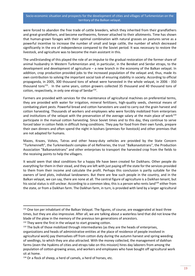were forced to abandon the free trade of cattle breeders, which they inherited from their grandfathers and great-grandfathers, and become earthworms, forever attached to their allotments. Time has shown that human-grown forages with their optimal combination with natural grasses on pastures serve as a powerful incentive to increase the number of small and large cattle, the number of which decreased significantly in the era of independence compared to the Soviet period. It was necessary to restore the livestock, and agriculture was to become the main assistant in this.

The und3rstanding of this played the role of an impulse to the gradual restoration of the former share of animal husbandry in Western Turkmenistan and, in particular, in the Bereket and Serdar etraps, to the development and development of agriculture – a new branch in the economy of the Balkan velayat. In addition, crop production provided jobs to the increased population of the velayat and, thus, made its own contribution to solving the important social task of ensuring stability in society. According to official propaganda, in 2005, 300 thousand tons of wheat were harvested in the whole velayat, in 2006 - 350 thousand tons<sup>131</sup>. In the same years, cotton growers collected 35 thousand and 40 thousand tons of cotton, respectively, in only one etrap of Serdar<sup>132</sup>.

Farmers are provided with services for the maintenance of agricultural machines on preferential terms, they are provided with water for irrigation, mineral fertilizers, high-quality seeds, chemical means of combating plant pests. Powerful bread and cotton harvesters are used to carry out the grain harvest and cotton harvesting. Thousands of workers and employees who were forcibly mobilized from enterprises and institutions of the velayat with the preservation of the average salary at the main place of work<sup>133</sup> participate in the manual cotton harvesting. Since Soviet times and to this day, they continue to serve forced labor in cotton fields in difficult living conditions. They pay for food from their own funds, prepare their own dinners and often spend the night in koshars (premises for livestock) and other premises that are not adapted for humans.

Mazes, Krazes, Volvos, Tatras and other heavy-duty vehicles are provided by the State Concern "Turkmenneft", the Turkmenbashi complex of oil Refineries, the trust "Balkanavtotrans", the Production Association "Balkanavtotrans" and other enterprises to transport the harvested crop from the fields to the receiving points to help the villagers.

It would seem that ideal conditions for a happy life have been created for Daikhans. Other people do everything for them in their stead, and they are left with just paying off the state for the services provided to them from their income and calculate the profit. Perhaps this conclusion is partly suitable for the owners of land plots, individual landowners. But there are few such people in the country, and in the Balkan velayat, we can say, there are none at all. The central figure of agriculture is a Daikhan tenant, but his social status is still unclear. According to a common idea, this is a person who rents land<sup>134</sup> either from the state, or from a Daikhan farm. The Daikhan farm, in turn, is provided with land by a larger agricultural

<sup>131</sup> One ton per inhabitant of the Balkan Velayat. The figures, of course, are exaggerated at least three times, but they are also impressive. After all, we are talking about a waterless land that did not know the blade of the plow in the memory of the previous ten generations of ancestors. <sup>132</sup> They were the first in the velayat to start growing cotton.

<sup>&</sup>lt;sup>133</sup> The bulk of those mobilized through intermediaries (as they are the heads of enterprises, organizations and heads of administrative entities at the place of residence of people involved in agricultural work) pay themselves off from cotton duty during the autumn harvest and spring weeding of seedlings, to which they are also attracted. With the money collected, the management of daikhan farms (even the hyakims of cities and etraps take on this mission) hires day laborers from among the population of cotton-growing areas, and workers and employees who have bought off agricultural work sit at home.

<sup>134</sup> Or a flock of sheep, a herd of camels, a herd of horses, etc.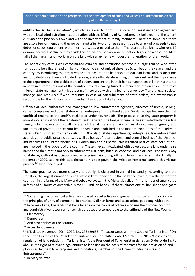entity - the Daikhan association<sup>135</sup>, which has leased land from the state, or uses it under an agreement with the local administration in coordination with the Ministry of Agriculture. It is believed that the tenant cultivates the plot on his own and with the involvement of family members. There are some, but there are also a few of them, and they go bankrupt after two or three seasons due to a lack of proceeds to pay debts for seeds, equipment, water, fertilizers, etc. provided to them. There are still daikhans who rent 10 or more hectares. Virtually, they divide the leased land between subtenants-villagers, on whose shoulders fall all the hardships of working on the land with an extremely modest remuneration for their work.

The beneficiary of this well-camouflaged criminal and corruption scheme is a large tenant, who often turns out to be a figurehead of high-ranking officials not only of the etrap (city), but of the velayat and the country. By introducing their relatives and friends into the leadership of daikhan farms and associations and distributing rent among trusted persons, state officials, depending on their rank and the importance of the department in the architecture of power, concentrate in their hands huge tracts of land<sup>136</sup> scattered in parts in different regions of the country. Officials, having turned bureaucracy into an absolute form of thieves' state management – kleptocracy<sup>137</sup>, covered with a fig leaf of democracy<sup>138</sup> and a legal society, manage land resources<sup>139</sup> with impunity. In case of non-fulfillment of state orders, the switchman is responsible for their failure: a farmhand-subtenant or a fake tenant.

Officials of local authorities and management, law enforcement agencies, directors of textile, sewing, carpet complexes and other state-owned enterprises in the Bereket and Serdar etraps became the first unofficial tenants of the land<sup>140</sup>, registered under figureheads. The process of seizing state property is monotonous throughout the territory of Turkmenistan. The tangle of criminal ties affiliated with the ruling family, which covers almost all spheres of life of the state, living in an atmosphere of greedy and uncontrolled privatization, cannot be unraveled and abolished in the modern conditions of the Turkmen state, which is closed from any criticism. Officials of state departments, enterprises, law enforcement agencies and public organizations, as well as heads of local, regional and central bodies of the Union of Industrialists and Entrepreneurs of Turkmenistan and its party - this legalized nest of state corruption are involved in the robbery of the country. These thieves, intoxicated with power, acquire land under false names and then rent it not only to subtenants-Daikhans, but also lease the land plots acquired in this way to state agricultural associations and enterprises, siphoning off rent from them as annuity. Finally, in November 2020, seeing this as a threat to his sole power, the Arkadag President banned this vicious practice $141$  by a special order.

The same practice, but more clearly and openly, is observed in animal husbandry. According to state statistics, the largest number of small cattle is kept today not in the Balkan velayat, but in the east of the country - in the farms of the Mary and Lebap velayats. In the Murghab valley<sup>142</sup>, the number of small cattle in farms of all forms of ownership is over 5.6 million heads. Of these, almost one million sheep and goats

<sup>135</sup> Something like former collective farms based on collective management, or state farms working on the principles of unity of command. In practice, Daikhan farms and associations get along with both. <sup>136</sup> In terms of size, the lands that have fallen into the hands of officials who use their official position and administrative resources for selfish purposes are comparable to the latifundia of the New World. 137 Cleptocracy.

<sup>138</sup> Democracy.

<sup>139</sup> And other riches of the country.

<sup>140</sup> Actual landowners.

<sup>141</sup> NT, dated November 20th, 2020, No. 295 (29655): "In accordance with the Code of Turkmenistan "On Land", the Decree of the President of Turkmenistan No. 14668 dated March 18th, 2016 "On issues of regulation of land relations in Turkmenistan", the President of Turkmenistan signed an Order ordering to abolish the right of relevant legal entities to land use on the basis of contracts for the provision of land plots used by them to enterprises and institutions, members of the Union of Industrialists and Entrepreneurs".

<sup>142</sup> In Mary velayat.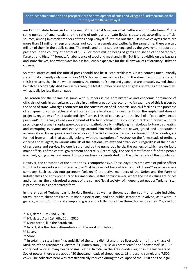are kept on state farms and enterprises. More than 4.6 million small cattle are in private farms<sup>143</sup>. The same number of small cattle and the ratio of public and private flocks is observed, according to official sources, among livestock breeders of the Lebap velayat<sup>144</sup>. It turns out that just in two velayats there are more than 11 million sheep and goats, not counting camels and cattle. At the same time, there are two million of them in the public sector. The media and other sources engaged by the government report the presence in the country of a total of 17, 20 or more million heads of goats and sheep of the Saradzhin, Karakul, and Hissar<sup>145</sup> breeds. An abundance of wool and meat and milk! But it is not visible on the bazaars and store shelves, and what is available is fabulously expensive for the skinny wallets of ordinary Turkmen citizens.

So state statistics and the official press should not be trusted recklessly. Closed sources unequivocally stated that currently only one million 443.5 thousand animals are kept in the sheep farms of the state. If this is the case, then in the whole country, the number of sheep and goats that are privately owned should be halved accordingly. And even in this case, the total number of sheep and goats, as well as other animals, will actually be less than on paper.

The reason for the shameless game with numbers is the administrative and economic dominance of officials not only in agriculture, but also in all other areas of the economy. An example of this is given by the head of state, who signs contracts for the construction of all industrial and civil facilities, the purchase of equipment, consumables and authorizes the allocation of investments for the implementation of projects, regardless of their scale and significance. This, of course, is not the level of a "popularly elected president", but a way of dirty enrichment of the first official in the country in rank and power with the psychology of a small shopkeeper-cooperator, pathologically multiplying his fabulous fortune by cheating and corrupting everyone and everything around him with unlimited power, greed and unrestrained accumulation. Today, private and state flocks of the Balkan velayat, as well as throughout the country, are formed from animals that actually belong, with the exception of livestock on the farmsteads of ordinary citizens and villagers, to various officials of the national, velayat and etrap levels, regardless of their place of residence and service. No one is surprised by the numerous herds, the owners of which are de facto major officials of the central government apparatus. Accordingly, the social stratification<sup>146</sup> of the people is actively going on in rural areas. This process has also penetrated into the urban strata of the population.

However, the corruption of the authorities is comprehensive. These days, any employee or police officer from the lower ranks is considered a loser<sup>147</sup> if he does not have at least a small dukan<sup>148</sup> or a car service company. Such pseudo-entrepreneurs (telekechi) are active members of the Union and the Party of Industrialists and Entrepreneurs of Turkmenistan. In this corrupt sewer, where the main values are bribes and offerings, the undisguised essence of the corrupt "legal society" of independent neutral Turkmenistan is presented in a concentrated form.

In the etraps of Turkmenbashi, Serdar, Bereket, as well as throughout the country, private individual farms, tenant shepherds from Daikhan associations, and the public sector are involved, as it were. In general, almost 70 thousand sheep and goats and a little more than three thousand camels<sup>149</sup> grazed on

<sup>143</sup> NT, dated July 22nd, 2020.

<sup>144</sup> NT, dated April 1st, 6th, 10th, 2020.

<sup>&</sup>lt;sup>145</sup> Meat breed, like the Saradzhin.

 $146$  In fact, it is the class differentiation of the rural population.

<sup>&</sup>lt;sup>147</sup> Loser.

<sup>148</sup> Store.

<sup>149</sup> In total, the state farm "Kazandzhik" of the same district and three livestock farms in the village of Kizylkiya of the Krasnovodsk district: "Turkmenistan", "26 Baku Commissars" and "Komsomol" in 1982 contained twice as many heads of small cattle. In total, in the Krasnovodsk region in the last years of Soviet power, there were about 420 thousand heads of sheep, goats, 18 thousand camels and 7,500 cows. The collective herd was catastrophically reduced during the collapse of the USSR and the legal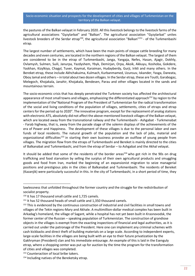the pastures of the Balkan velayat in February 2020. All this livestock belongs to the livestock farms of the agricultural associations "Gyzylarbat" and "Balkan". The agricultural association "Gyzylarbat" unites livestock breeders of the Serdar etrap<sup>150</sup>, the agricultural association "Balkan"<sup>151</sup> - of the Turkmenbashi etrap.

The largest number of settlements, which have been the main points of steppe cattle breeding for many decades and even centuries, are located in the northern regions of the Balkan velayat. The largest of them are considered to be in the etrap of Turkmenbashi, Janga, Yangaja, Nefes, Hasan, Ajagir, Dokhly, Ovlamysh, Sulmen, Suili, Janurpa, Yazdyshem, Ybyk, Demirjan, Orpa, Akoik, Akkuyu, Koshoba, Gokdere, Yaskhan, Kizylkiya, Chagyl, Tuver, Kaymat, Karaiman, Hudayberdy, Gurji, Irikli and many others. In the Bereket etrap, these include Akhchakuima, Kulmach, Kurbanmamed, Uzunsuv, Iskander, Yasga, Daneata, Oboy Jamal and others – in total about two dozen villages. In the Serdar etrap, these are Toutli, Garabogaz, Melegoch, Khojakala, Janahir, Khojakala, Bendesen, Parau and other villages located in the sands and mountainous terrain.

The socio-economic crisis that has deeply penetrated the Turkmen society has affected the architectural appearance of most small towns and villages, emphasizing the differentiated approach<sup>152</sup> by region to the implementation of the"National Program of the President of Turkmenistan for the radical transformation of the social and living conditions of the population of villages, settlements, cities of etraps and etrap centers for the period up to 2020". The innovative program, except for the replacement of analog stations with electronic ATS, absolutely did not affect the above-mentioned livestock villages of the Balkan velayat, which are located away from the transnational railway and the Turkmenbashi - Ashgabat - Turkmenabat - Farab highway, that is, away from the parade stage of the solemn displays of the achievements of the era of Power and Happiness. The development of these villages is due to the personal labor and own funds of local residents. The natural growth of the population and the lack of jobs, material and organizational difficulties<sup>153</sup> in starting their own business provoke an outflow of young people from villages. The migration flow from the etraps of Turkmenbashi and Bereket is mainly directed to the cities of Balkanabat and Turkmenbashi, and from the etrap of Serdar – to Ashgabat and the Akhal velayat.

It should be added that some of the residents of the border areas<sup>154</sup> who got rich in the 90s on drug trafficking and food starvation by selling the surplus of their own agricultural products and smuggling goods and food from Iran, marked the beginning of an expansionist migration to seize managerial positions and prestigious jobs in the cities of Balkanabat and Turkmenbashi. The residents of Bereket (Kazanjik) were particularly successful in this. In the city of Turkmenbashi, in a short period of time, they

lawlessness that unfolded throughout the former country and the struggle for the redistribution of socialist property.

<sup>&</sup>lt;sup>150</sup> It has 17 thousand small cattle and 1,725 camels.

<sup>&</sup>lt;sup>151</sup> It has 52 thousand heads of small cattle and 1,350 thousand camels.

<sup>&</sup>lt;sup>152</sup> This is evidenced by the continuous construction of industrial and civil facilities in small towns and villages of the Tekin regions-Mary and Akhale. A multimillion-dollar medical complex has been built in Arkadag's homeland, the village of Sagant, while a hospital has not yet been built in Krasnovodsk, the former center of the Russian – speaking population of Turkmenistan. The construction of grandiose objects in the villages is exempt from the exacting inspections of financial and legal authorities, as it is carried out under the patronage of the President. Here one can implement any criminal schemes with cash kickbacks and direct theft of building materials on a large scale. According to independent experts, large-scale facilities in the villages are being built with an eye to their future privatization by the Gakhryman (President) clan and his immediate entourage. An example of this is laid in the Esenguly etrap, where a shopping center was put up for auction by the time the program for the transformation of cities and villages was completed.

<sup>&</sup>lt;sup>153</sup> Counteraction of local bribe takers.

<sup>&</sup>lt;sup>154</sup> Including natives of the Bereketsky etrap.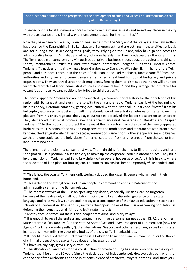squeezed out the local Turkmens without a trace from their familiar seats and seized key places in the city with the arrogance and criminal way of management usual for the "termites"<sup>155</sup>.

Now they have been replaced by Tekin nouveau riches from the Mary and Akhal velayats. The new settlers have pushed the Kazandzhiks in Balkanabat and Turkmenbashi and are settling in these cities seriously and for a long time. In achieving their goals, they, relying on their clans, who have gained access to administrative levers in Ashgabat and Akhal, act more harshly than their predecessors - the Kazandzhiks. The Tekin people uncompromisingly<sup>156</sup> push out of private business, trade, education, culture, healthcare, sports, management structures and state-owned enterprises indigenous citizens, mostly coastal Turkmens<sup>157</sup>, natives of fishing villages from Garabogaz to Esenguly. With the" light " hand of the Tekin people and Kazandzhik Yomud in the cities of Balkanabat and Turkmenbashi, functionaries<sup>158</sup> from local authorities and city law enforcement agencies launched a real hunt for jobs of budgetary and private organizations. They secretly discredit their employees, forcing them to dismiss at their own will or under far-fetched articles of labor, administrative, civil and criminal law<sup>159</sup>, and they arrange their relatives for vacant jobs or resell vacant positions for bribes to third parties $^{160}$ .

The newly-appeared "managers" are not connected by a common tribal history for the population of this region with Balkanabat, and even more so with the city and etrap of Turkmenbashi. At the beginning of his presidency, Berdimukhamedov, getting acquainted with the National Tourist Zone "Avaza" from his helicopter, expressed dissatisfaction with the abundance of ancestral cemeteries on its territory. The pleasers from his entourage and the velayat authorities perceived the leader's discontent as an order. They demanded that local officials level the ancient ancestral cemeteries of Kazakhs and Caspian Turkmens<sup>161</sup> to the ground. To protect the graves of their ancestors from the ruin of the newly-appeared barbarians, the residents of the city and etrap covered the tombstones and monuments with branches of kandym, cherkez, grebenshchik, sandy acacia, wormwood, camel thorn, other steppe grasses and bushes. So that no one could see the holy places from a helicopter, or from an airplane, or from the sea, or from land - from nowhere.

The aliens treat the city in a consumerist way. The main thing for them is to fill their pockets and, as a springboard, use a position in a seaside city to move up the corporate ladder in another place. They build luxury mansions in Turkmenbashi and its vicinity - often several houses at once. And this is in a city where the allocation of land plots for housing construction to citizens has been temporarily<sup>162</sup> suspended, and a

<sup>161</sup> Chovdurs, soyinajs, igdyrs, saryks, yomudas.

<sup>&</sup>lt;sup>155</sup> This is how the coastal Turkmens unflatteringly dubbed the Kazanjik people who arrived in their homeland.

<sup>&</sup>lt;sup>156</sup> This is due to the strengthening of Tekin people in command positions in Balkanabat, the administrative center of the Balkan velayat.

<sup>&</sup>lt;sup>157</sup> The representatives of the Russian-speaking population, especially Russians, can be forgotten because of their extremely small population, social passivity and disunity, ignorance of the state language and relatively low culture and literacy as a consequence of the flawed education in secondary schools of Turkmenistan. This seriously restricts the opportunities of the Russian-speaking population in defending their constitutional rights and legitimate interests.

<sup>158</sup> Mostly Yomudis from Kazancik, Tekin people from Akhal and Mary velayat.

<sup>&</sup>lt;sup>159</sup> It is enough to recall the endless and continuing punitive personnel purges at the TKNPZ, the former State Enterprise "Balkanbalyk", in the State Service of Sea and River Transport of Turkmenistan (now the Agency "Turkmendenizderyaellary"), the International Seaport and other enterprises, as well as in state institutions - hyakimlik, the governing bodies of the city of Turkmenbashi, etc.

<sup>&</sup>lt;sup>160</sup> It should be recalled that in Turkmenistan it is forbidden to mention unemployment under the threat of criminal prosecution, despite its obvious and incessant growth.

<sup>&</sup>lt;sup>162</sup> The allocation of land plots for the construction of private housing has been prohibited in the city of Turkmenbashi for almost 30 years (since the declaration of independence). However, this ban, with the connivance of the authorities and the joint benevolence of architects, lawyers, notaries, land surveyors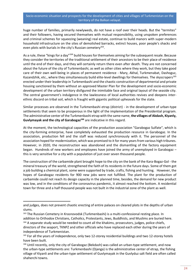huge number of families, primarily newlyweds, do not have a roof over their heads. But the "termites" and their followers, having secured themselves with mutual responsibility, using unspoken preferences and criminal schemes for squeezing (weaning) real estate, continue to build manors with super-modern household infrastructure on the sites of demolished barracks, extinct houses, poor people's shacks and even plots with burials in the city's Russian cemetery<sup>163</sup>.

As a rule, these "kings for a day"<sup>164</sup> build houses for themselves aiming for the subsequent resale. Because they consider the territories of the traditional settlement of their ancestors to be their place of residence until the end of their days, and they will certainly return there even after death. They are not concerned about the future of the city of Turkmenbashi, as well as other cities where they work, but they take good care of their own well-being in places of permanent residence - Mary, Akhal, Turkmenabat, Dashoguz, Kazandzhik, etc., where they simultaneously build elite-level dwellings for themselves. The skyscrapers<sup>165</sup> erected under their leadership in Turkmenbashi and the chaotic construction of departmental and private housing sanctioned by them without an approved Master Plan for the development and socio-economic development of the urban territory disfigured the inimitable face and original layout of the seaside city. The central government's indulgence in the lawlessness of local authorities revives and deepens interethnic discord on tribal soil, which is fraught with gigantic political upheavals for the state.

Similar processes are observed in the Turkmenbashi etrap (district) - in the development of urban-type settlements that seem to be prosperous in the light of the implementation of the Presidential program. The administrative center of the Turkmenbashi etrap with the same name, **the villages of Akdash, Kiyanly, Guvlymayak and the city of Garabogaz<sup>166</sup>** are indicative in this regard.

At the moment, the technological capacities of the production association "Garabogaz Sulfate", which is the city-forming enterprise, have completely exhausted the production resource in Garabogaz. In the association, production fell and the staff was reduced synchronously with it. The personnel of the association hoped for modernization, which was promised to it for many years from various high tribunes. However, in 2020, the reconstruction was abandoned and the dismantling of the factory equipment began. Hundreds of new workers and employees have joined the army of unemployed in Garabogaz – this is very sensitive for a city with a population of just over seven thousand people.

The construction of the carbamide plant brought hope to the city on the bank of the Kara-Bogaz-Gol - the mineral treasury of the world, strengthened the faith of its residents in the future days. Some of them got a job building a chemical plant, some were supported by trade, crafts, fishing and hunting. However, the hopes of Garabogaz residents for 900 new jobs were not fulfilled. The plant for the production of carbamide could not reach its design capacity in the planned time, besides, the demand for new product was low, and in the conditions of the coronavirus pandemic, it almost reached the bottom. A residential town for three and a half thousand people was not built in the industrial zone of the plant as well.

and judges, does not prevent chaotic erecting of entire palaces on cleared plots in the depths of urban slums.

<sup>163</sup> The Russian Cemetery in Krasnovodsk (Turkmenbashi) is a multi-confessional resting place. In addition to Orthodox Christians, Catholics, Protestants, Jews, Buddhists, and Muslims are buried here. <sup>164</sup> A separate study would be needed to count all the khakims, prosecutors, judges, police chiefs, directors of the seaport, TKNPZ and other officials who have replaced each other during the years of independence of Turkmenistan.

<sup>&</sup>lt;sup>165</sup> For all the years of independence, only two 12-storey residential buildings and two 12-storey hotels have been built.

<sup>166</sup> Until recently, only the city of Garabogaz (Bekdash) was called an urban-type settlement, and now the urban-type settlements are: Turkmenbashi (Djanga) is the administrative center of etrap, the fishing village of Kiyanli and the urban-type settlement of Guvlymayak in the Guvlyduz salt field are often called shaherchi towns.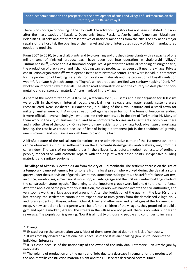There is no shortage of housing in the city itself. The solid housing stock has not been inhabited until now after the mass exodus of Kazakhs, Dagestanis, Jews, Russians, Azerbaijanis, Armenians, Ukrainians, Belarusians, Uzbeks and other representatives of national minorities from the city. The city needs major repairs of the hospital, the opening of the market and the uninterrupted supply of food, manufactured goods and medicine.

From 2007 to 2020, two asphalt plants and two crushing and crushed stone plants with a capacity of one million tons of finished product each have been put into operation in **shakherchi (village) Turkmenbashi<sup>167</sup>**, where about 4 thousand people live. A plant for the artificial breeding of sturgeon fish, the production of black caviar and fish, including canned products, has been built near the village. Private construction organizations<sup>168</sup> were opened in the administrative center. There were individual enterprises for the production of building materials from local raw materials and the production of basalt insulation wool<sup>169</sup>. A private high-tech company "Tugra", which produced certified wet sanitary napkins "Deñiz"<sup>170</sup>, worked on imported raw materials. The etrap road administration and the country's oldest plant of nonmetallic and construction materials $171$  are involved in the village.

As part of the modernization of 2007-2020, a stadium for 1,500 seats and a kindergarten for 100 visits were built in shakherchi. Internal roads, electrical lines, sewage and water supply systems were reconstructed. Near shakherchi Turkmenbashi, a building of the Naval Institute and a small town for military families were built. A whole street of cottages has been built on the terms of long-term lending. It were officials - overwhelmingly - who became their owners, as in the city of Turkmenbashi. Many of them work in the city of Turkmenbashi and have comfortable houses and apartments, both over there and in other cities of the country. Only a few ordinary residents of the village took advantage of mortgage lending, the rest have refused because of fear of losing a permanent job in the conditions of growing unemployment and not having enough time to pay off the loan.

A blissful picture of the radical transformations in the administrative center of the Turkmenbashi etrap can be observed, as in other settlements on the Turkmenbashi-Ashgabat-Farab highway, only from the car window. The basis of residential areas in the villages is, as before, modest real estate of ordinary people, modernized with cosmetic repairs with the help of water-based paints, inexpensive building materials and sanitary equipment.

**The village of Akdash** is located 20 km from the city of Turkmenbashi. The settlement arose on the site of a temporary camp settlement for prisoners from a local prison who worked during the day at a stone quarry under the supervision of guards. Over time, stone houses for guards, a hostel for freelance workers, an office, warehouses, a mechanical workshop, an auto garage and the first residential buildings made of the construction stone "gyusha" (belonging to the limestone group) were built next to the camp fence. After the abolition of the penitentiary institution, the quarry was handed over to the civil authorities, and very soon a working village appeared around it. After the liquidation of the quarry in the late 90s of the last century, the settlement continued to expand due to immigrants from the demolished village No. 7 and rural residents of Khasan, Sulmen, Chagyl, Tuver and other near and far villages of the Turkmenbashi etrap. A new school and kindergarten were built for the children of the villagers, they promised to build a gym and open a market (bazaar). The streets in the village are not paved, there is no water supply and sewerage. The population is growing. Now it is almost two thousand people and continues to increase.

<sup>167</sup> Djanga.

<sup>&</sup>lt;sup>168</sup> Existed during the construction work. Most of them were closed due to the lack of contracts.

<sup>&</sup>lt;sup>169</sup> It was forcibly closed on a national basis because of the Russian-speaking (Jewish) founders of the Individual Enterprise.

<sup>&</sup>lt;sup>170</sup> It is closed because of the nationality of the owner of the Individual Enterprise - an Azerbaijani by nationality.

<sup>&</sup>lt;sup>171</sup> The volume of production and the number of jobs due to a decrease in demand for the products of the non-metallic construction materials plant and the DU services decreased several times.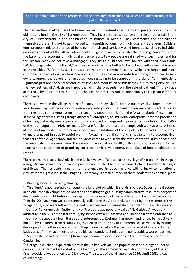The new settlers in Akdash are the former owners of privatized apartments and private houses from the old housing fund in the city of Turkmenbashi. They invest the proceeds from the sale of real estate in the city of Turkmenbashi in the construction of houses in Akdash. They commence the construction themselves, preferring not to get involved with roguish builders from individual entrepreneurs. Buildersentrepreneurs inflate the prices of building materials and carelessly build homes according to individual orders of residents of the village, whom banks oblige in advance to transfer the mortgage loan taken from the bank to the accounts of individual entrepreneurs. Few people are satisfied with such rules, and for this reason, many do not take a mortgage. They try to build their own houses with their own funds: "Without a garrote on the throat," as they say in Akdash It is better to build it yourself - even if it is made of stone chips<sup>172</sup>. From it, solid houses are made on cement masonry, which are larger and more comfortable than adobe, adobe-stone and lath houses sold in a seaside town for good money to new owners. Among the buyers of dilapidated housing going to be scrapped in the city of Turkmenbashi, a significant part are not representatives of small and medium-sized businesses, but thieving officials. But the new settlers of Akdash are happy that with the proceeds from the sale of old junk<sup>173</sup>, they have acquired, albeit far from civilization, good houses, homesteads and the opportunity to keep cattle for their own needs.

There is no work in the village. Mining of quarry stone "gyusha" is carried out in small volumes, almost in an artisanal way with violations of elementary safety rules. The construction materials plant relocated from the etrap center employs no more than thirty people, mainly from the Akdash suburb of Kozhman $^{174}$ . In the village there is a small garbage disposal<sup>175</sup> enterprise, an individual entrepreneur for the production of building materials, several private shops and individuals engaged in private transportation. About 40% of the adult population (60% are male, 20% are female, the rest are unemployed) work at enterprises of all forms of ownership, in communal services and institutions of the city of Turkmenbashi. The share of villagers engaged in socially useful work in Akdash is insignificant and is not taken into account. Even teachers of the village school and civil servants come to work from the etrap center of Turkmenbashi and the resort city of the same name. The same can be said about health, culture and sports workers. Akdash today is not a settlement of promising socio-economic development, but a place of forced habitation of people.

There are many places like Akdash in the Balkan velayat. Take at least the village of Karagel<sup>176</sup> – in the past a large fishing village and a transshipment base of the Cheleken chemical plant. Currently, fishing is prohibited. The residents, mostly men, are engaged in poaching and, with a lucky combination of circumstances, get a job in the Dragon Oil company. A small number of them work at the chemical plant,

<sup>&</sup>lt;sup>172</sup> Building stone is now a big shortage.

<sup>173</sup> This "junk" is not needed by anyone - the land plot on which it stands is valued. Buyers of real estate in an old urban development do not stop at anything to get it. Using administrative resources, forgery of documents or outright bribery, they expand the acquired plots several times and build palaces on them. 174 In the 90s, Kozhman was spontaneously built along the Airport-Akdash road by the residents of the village No. 7, who were left without a roof over their heads, demolished by order of the authorities of the city of Turkmenbashi. Settlement No. 7, or, as it was popularly called "Nakhalstroy", was built arbitrarily in the 70s of the last century by steppe dwellers (Kazakhs and Turkmens) at the entrance to the city of Krasnovodsk from the airport. Subsequently, Kozhman has grown and is now being actively built up by Turkmens from distant villages of etrap and the city of Turkmenbashi, as well as by visiting developers from other velayats. It is built up in one row along the road for several kilometers. In the back yards of the village there are outbuildings – tamdyrs, sheds, cattle pens, stables, workshops, etc. 175 Ship waste (ballast water, etc.) from ships serving offshore fisheries in the Turkmen sector of the Caspian Sea.

 $176$  Garagel is a urban - type settlement in the Balkan Velayat. The population is about eight hundred people. The settlement is located on the territory of the administrative district of the city of Khazar. Krasnovodsk railway station is 140 km away. The status of the village since 1956. Until 1993, it was called Karagel.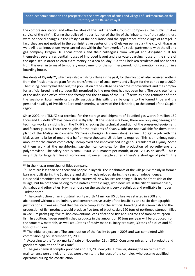the compressor station and other facilities of the Turkmenneft Group of Companies, the public utilities service of the city<sup>177</sup>. During the policy of modernization of the life of the inhabitants of the region, there were no special changes in the lifestyle of the population and the appearance of the village of Karagel. In fact, they are not noticed in the administrative center of the Cheleken peninsula - the city of Khazar as well. All local innovations were carried out within the framework of a social partnership with the oil and gas company Dragon Oil. Local officials and their colleagues from velayat and Ashgabat built for themselves several residential houses of improved layout and a private boarding house on the shore of the open sea in order to earn extra money on a sea holiday. But the Cheleken residents did not benefit from this even in terms of temporary employment for the summer period, not to mention a vacation in a boarding house.

Residents of **Kiyanly<sup>178</sup>**, which was also a fishing village in the past, for the most part also received nothing from the President's program for the transformation of small towns and villages for the period up to 2020. The fishing industry has died out, the population of the village has become impoverished, and the complex for artificial breeding of sturgeon fish promised by the president has not been built. The concrete frame of the unfinished office of the fish factory and the column of the BSU<sup>179</sup> serve as a sad reminder of it on the seashore. Local residents directly associate this with their belonging to the Iomud tribe and the personal hostility of President Berdimukhamedov, a native of the Tekin tribe, to the Iomud of the Caspian region.

Since 2009, the TKNPZ sea terminal for the storage and shipment of liquefied gas worth 9 million 150 thousand US dollars<sup>180</sup> has been idle in Kiyanly. Of the specialists here, there are only engineering and technical workers visiting from the TKNPZ, checking the technical condition of the preserved equipment, and factory guards. There are no jobs for the residents of Kiyanly. Jobs are not available for them at the plant of the Malaysian company "Petronas Charigali (Turkmenistan)" as well. To get a job with the Malaysians, a bribe of one and a half or more thousand US dollars is required. This is an unimaginable amount for the almost completely unemployed and impoverished indigenous residents of Kiyanly. Some of them work at the neighboring gas-chemical complex for the production of polyethylene and polypropylene. The salary here is small: 2500-3500 manats per month, or 88-120 US dollars<sup>181</sup>. This is very little for large families of Pomorians. However, people suffer - there's a shortage of jobs<sup>182</sup>. The

<sup>177</sup> In the Khazar municipal utilities company.

<sup>&</sup>lt;sup>178</sup> There are less than one thousand people in Kiyanli. The inhabitants of the village live mainly in former barracks built during the Soviet era and slightly redeveloped during the years of independence. Household amenities are located in the courtyard. New houses are being built on the front side of the village, but half of them belong to the natives of the village, who now live in the city of Turkmenbashi, Ashgabat and other cities. Having a house on the seashore is very prestigious and profitable in modern Turkmenistan.

<sup>179</sup> The construction of an industrial facility worth 42 million US dollars was started in 2008 and abandoned without a preliminary and comprehensive study of the feasibility and socio-demographic justifications. It was assumed that the state complex for the artificial breeding of sturgeon fish and the production of fish products would produce five tons of black caviar, 120 tons of portioned sturgeon fillet in vacuum packaging, five million conventional cans of canned fish and 120 tons of smoked sturgeon fish. In addition, frozen semi-finished products in the amount of 10 tons per year will be produced from the same raw materials, as well as: 10 tons of ready-made culinary products, 30 tons of pickles and 50 tons of fish flour.

<sup>180</sup> The initial project cost. The construction of the facility began in 2003 and was completed with commissioning on December 9th, 2009.

<sup>&</sup>lt;sup>181</sup> According to the "black market" rate of November 29th, 2020. Consumer prices for all products and goods are equal to the "black rate".

 $182$  The gas chemical complex provided about 1,200 new jobs. However, during the recruitment of maintenance personnel, priorities were given to the builders of the complex, who became qualified operators during the construction.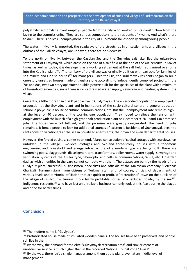polyethylene-propylene plant employs people from the city who worked on its construction from the laying to the commissioning. They are serious competitors to the residents of Kiyanly. And what's there to do? - There is no less unemployment in the city of Turkmenbashi, especially among young people.

The water in Kiyanly is imported, the roadways of the streets, as in all settlements and villages in the outback of the Balkan velayat, are unpaved, there are no sidewalks.

To the north of Kiyanly, between the Caspian Sea and the Guvlyduz salt lake, lies the urban-type settlement of Guvlymayak, which arose on the site of a salt field at the end of the XIX century. In Soviet times, as well as today, it is developing as a working settlement at the salt field, reorganized over time into the Kuulisol plant<sup>183</sup>. The territory of the village was originally built up with barracks for families of salt miners and Finnish houses<sup>184</sup> for managers. Since the 60s, the Kuulimayak residents began to build one-story unsettled houses made of gyusha stone according to independently compiled projects. In the 70s and 80s, two two-story apartment buildings were built for the specialists of the plant with a minimum of household amenities, since there is no centralized water supply, sewerage and heating system in the village.

Currently, a little more than 1,200 people live in Guvlymayak. The able-bodied population is employed in production at the Guvlyduz plant and in institutions of the socio-cultural sphere: a general education school, a polyclinic, a house of culture, communications, etc. But the unemployment rate remains high – at the level of 40 percent of the working-age population. They hoped to relieve the tension with employment with the launch of a high-grade salt production plant on December 9, 2019 and 140 promised jobs. The hopes were not fulfilled, and the promises were greatly exaggerated. The need for jobs remained. It forced people to look for additional sources of existence. Residents of Guvlymayak began to rent rooms to vacationers at the sea in privatized apartments, their own and even departmental houses.

However, the forced business comes to an end. A large construction of capital cottages with sea views has unfolded in the village. Two-level cottages and two-and three-storey houses with autonomous engineering and household and energy infrastructure of a modern type are being built: there are swimming pools, playgrounds, diesel generators, transformers, boiler rooms, water supply, sewerage and ventilation systems of the Chiller type, fiber-optic and cellular communications, WI-FI, etc. Unsettled dachas with amenities in the yard cannot compete with them. The estates are built by the heads of the Guvlyduz plant, successful businessmen, specialists and officials of the Malaysian company "Petronas Charigali (Turkmenistan)" from citizens of Turkmenistan, and, of course, officials of departments of various levels and territorial affiliation that are quick to profit. A "recreational" town on the outskirts of the village of Guvlyduz is turning into a highly profitable corner of a secluded holiday by the sea $^{185}$ . Indigenous residents<sup>186</sup> who have lost an unreliable business can only look at this feast during the plague and hope for better times.

## <span id="page-28-0"></span>**Conclusion**

<sup>183</sup> The modern name is "Guvlyduz".

<sup>&</sup>lt;sup>184</sup> Prefabricated house made of insulated wooden panels. The houses have been preserved, and people still live in them.

 $185$  By the way, the demand for the elite "Guvlymayak recreation area" and similar corners of unobtrusive service is much higher than in the recorded National Tourist Zone "Avaza".

<sup>186</sup> By the way, there isn't a single manager among them at the plant, even at an middle level of management.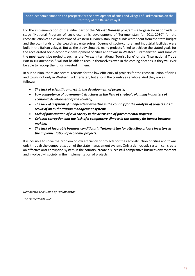For the implementation of the initial part of the **Maksat Namasy** program - a large-scale nationwide 3 stage "National Program of socio-economic development of Turkmenistan for 2011-2030" for the reconstruction of cities and towns of Western Turkmenistan, huge funds were spent from the state budget and the own funds of the wealthiest enterprises. Dozens of socio-cultural and industrial facilities were built in the Balkan velayat. But as the study showed, many projects failed to achieve the stated goals for the accelerated socio-economic development of cities and towns in Western Turkmenistan. And some of the most expensive projects, such as the "Avaza International Tourist Zone" or the "International Trade Port in Turkmenbashi", will not be able to recoup themselves even in the coming decades, if they will ever be able to recoup the funds invested in them.

In our opinion, there are several reasons for the low efficiency of projects for the reconstruction of cities and towns not only in Western Turkmenistan, but also in the country as a whole. And they are as follows:

- *The lack of scientific analysis in the development of projects;*
- *Low competence of government structures in the field of strategic planning in matters of economic development of the country;*
- *The lack of a system of independent expertise in the country for the analysis of projects, as a result of an authoritarian management system;*
- *Lack of participation of civil society in the discussion of governmental projects;*
- *Colossal corruption and the lack of a competitive climate in the country for honest business making;*
- *The lack of favorable business conditions in Turkmenistan for attracting private investors in the implementation of economic projects.*

It is possible to solve the problem of low efficiency of projects for the reconstruction of cities and towns only through the democratization of the state management system. Only a democratic system can create an effective anti-corruption system in the country, create a successful competitive business environment and involve civil society in the implementation of projects.

*Democratic Civil Union of Turkmenistan,*

*The Netherlands 2020*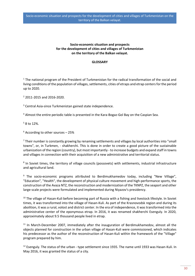#### **GLOSSARY**

 $1$  The national program of the President of Turkmenistan for the radical transformation of the social and living conditions of the population of villages, settlements, cities of etraps and etrap centers for the period up to 2020.

<sup>2</sup> 2011-2015 and 2016-2020.

<sup>3</sup> Central Asia-since Turkmenistan gained state independence.

<sup>4</sup> Almost the entire periodic table is presented in the Kara-Bogaz-Gol Bay on the Caspian Sea.

<sup>5</sup> 8 to 12%.

 $6$  According to other sources  $-25%$ 

 $7$  Their number is constantly growing by renaming settlements and villages by local authorities into "small" towns", or, in Turkmen, - shakherchi. This is done in order to create a good picture of the sustainable urbanization of the region (country), but most importantly - to increase budgets and expand staff in towns and villages in connection with their acquisition of a new administrative and territorial status.

<sup>8</sup> In Soviet times, the territory of village councils (possovets) with settlements, industrial infrastructure and agricultural land.

<sup>9</sup> The socio-economic programs attributed to Berdimukhamedov today, including "New Village", "Education", "Health", the development of physical culture movement and high-performance sports, the construction of the Avaza NTZ, the reconstruction and modernization of the TKNPZ, the seaport and other large-scale projects were formulated and implemented during Niyazov's presidency.

<sup>10</sup> The village of Hasan-Kuli before becoming part of Russia with a fishing and livestock lifestyle. In Soviet times, it was transformed into the village of Hasan-Kuli. As part of the Krasnovodsk region and during its abolition, it was a rural, volost and district center. In the era of independence, it was transformed into the administrative center of the eponymous etrap. In 2016, it was renamed shakherchi Esenguly. In 2020, approximately about 9.5 thousand people lived in etrap.

 $11$  In March-December 2007, immediately after the inauguration of Berdimukhamedov, almost all the objects planned for construction in the urban village of Hasan-Kuli were commissioned, which indicates his predecessor as the author of the reconstruction of Hasan-Kuli within the framework of the "Village" program prepared by him.

<sup>12</sup> Esenguly. The status of the urban - type settlement since 1935. The name until 1933 was Hasan-Kuli. In May 2016, it was granted the status of a city.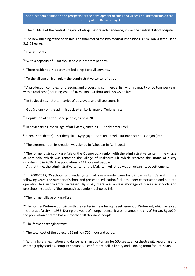<sup>13</sup> The building of the central hospital of etrap. Before independence, it was the central district hospital.

<sup>14</sup> The new building of the polyclinic. The total cost of the two medical institutions is 3 million 208 thousand 313.72 euros.

<sup>15</sup> For 350 seats.

<sup>16</sup> With a capacity of 3000 thousand cubic meters per day.

<sup>17</sup> Three residential 4-apartment buildings for civil servants.

 $18$  To the village of Esenguly – the administrative center of etrap.

 $19$  A production complex for breeding and processing commercial fish with a capacity of 50 tons per year, with a total cost (including VAT) of 10 million 994 thousand 999 US dollars.

<sup>20</sup> In Soviet times - the territories of possovets and village councils.

 $21$  Güdürolum - on the administrative-territorial map of Turkmenistan.

<sup>22</sup> Population of 11 thousand people, as of 2020.

<sup>23</sup> In Soviet times, the village of Kizil-Atrek, since 2016 - shakherchi Etrek.

<sup>24</sup> Uzen (Kazakhstan) – Serkhetyaka – Kyzylgaya – Bereket - Etrek (Turkmenistan) – Gorgan (Iran).

 $25$  The agreement on its creation was signed in Ashgabat in April, 2011.

<sup>26</sup> The former district of Kara-Kala of the Krasnovodsk region with the administrative center in the village of Kara-Kala, which was renamed the village of Makhtumkuli, which received the status of a city (shakherchi) in 2016. The population is 14 thousand people.

 $27$  At that time, the administrative center of the Makhtumkuli etrap was an urban - type settlement.

<sup>28</sup> In 2008-2012, 25 schools and kindergartens of a new model were built in the Balkan Velayat. In the following years, the number of school and preschool education facilities under construction and put into operation has significantly decreased. By 2020, there was a clear shortage of places in schools and preschool institutions (the coronavirus pandemic showed this).

<sup>29</sup> The former village of Kara-Kala.

<sup>30</sup> The former Kizil-Arvat district with the center in the urban-type settlement of Kizil-Arvat, which received the status of a city in 1935. During the years of independence, it was renamed the city of Serdar. By 2020, the population of etrap has approached 90 thousand people.

<sup>31</sup> The former Kazanjik district.

<sup>32</sup> The total cost of the object is 19 million 700 thousand euros.

<sup>33</sup> With a library, exhibition and dance halls, an auditorium for 500 seats, an orchestra pit, recording and choreography studios, computer courses, a conference hall, a library and a dining room for 130 seats.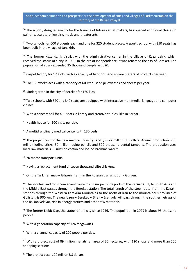<sup>34</sup> The school, designed mainly for the training of future carpet makers, has opened additional classes in painting, sculpture, jewelry, music and theater arts.

<sup>35</sup> Two schools for 600 students each and one for 320 student places. A sports school with 350 seats has been built in the village of Janakhir.

<sup>36</sup> The former Kazandzhik district with the administrative center in the village of Kazandzhik, which received the status of a city in 1939. In the era of independence, it was renamed the city of Bereket. The population of etrap exceeded 35 thousand people in 2020.

<sup>37</sup> Carpet factory for 120 jobs with a capacity of two thousand square meters of products per year.

<sup>38</sup> For 150 workplaces with a capacity of 600 thousand pillowcases and sheets per year.

<sup>39</sup> Kindergarten in the city of Bereket for 160 kids.

<sup>40</sup> Two schools, with 520 and 340 seats, are equipped with interactive multimedia, language and computer classes.

<sup>41</sup> With a concert hall for 400 seats, a library and creative studios, like in Serdar.

42 Health house for 100 visits per day.

<sup>43</sup> A multidisciplinary medical center with 130 beds.

<sup>44</sup> The project cost of the new medical industry facility is 22 million US dollars. Annual production: 250 million iodine sticks, 50 million iodine pencils and 500 thousand dental tampons. The production uses local raw materials – Turkmen cotton and iodine-bromine waters.

<sup>45</sup> 70 motor transport units.

<sup>46</sup> Having a replacement fund of seven thousand elite chickens.

 $47$  On the Turkmen map – Gürgen (Iran); in the Russian transcription - Gurgen.

<sup>48</sup> The shortest and most convenient route from Europe to the ports of the Persian Gulf, to South Asia and the Middle East passes through the Bereket station. The total length of the steel route, from the Kazakh steppes through the Western Karakum Mountains to the north of Iran to the mountainous province of Gulistan, is 900 km. The new Uzen – Bereket – Etrek – Esenguly will pass through the southern etraps of the Balkan velayat, rich in energy carriers and other raw materials.

<sup>49</sup> The former Nebit-Dag, the status of the city since 1946. The population in 2029 is about 95 thousand people.

<sup>50</sup> With a generation capacity of 126 megawatts.

<sup>51</sup> With a channel capacity of 200 people per day.

<sup>52</sup> With a project cost of 89 million manats; an area of 35 hectares, with 120 shops and more than 500 shopping sections.

<sup>53</sup> The project cost is 20 million US dollars.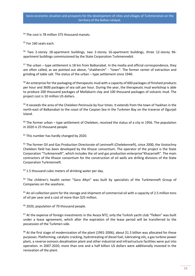<sup>54</sup> The cost is 78 million 375 thousand manats.

<sup>55</sup> For 160 seats each.

<sup>56</sup> Two 2-storey 18-apartment buildings, two 2-storey 16-apartment buildings, three 12-storey 96 apartment buildings commissioned by the State Corporation Turkmennebit.

 $57$  The urban – type settlement is 18 km from Balkanabat. In the media and official correspondence, they are often called, as we pointed out above, "shakherchi" - "town". The former center of extraction and grinding of table salt. The status of the urban – type settlement since 1940.

<sup>58</sup> An enterprise for the packaging of therapeutic mud with a capacity of 600 packages of finished products per hour and 3600 packages of sea salt per hour. During the year, the therapeutic mud workshop is able to produce 200 thousand packages of Mollakarin clay and 100 thousand packages of volcanic mud. The project cost is 10 million US dollars.

<sup>59</sup> It exceeds the area of the Cheleken Peninsula by four times. It extends from the town of Yaskhan in the north-east of Balkanabat to the coast of the Caspian Sea in the Turkmen Bay on the traverse of Ogurjali Island.

 $60$  The former urban – type settlement of Cheleken, received the status of a city in 1956. The population in 2020 is 25 thousand people.

 $61$  This number has hardly changed by 2020.

<sup>62</sup> The former Oil and Gas Production Directorate of Leninneft (Chelekenneft), since 2000, the Vostochny Cheleken field has been developed by the Khazar consortium. The operator of the project is the State Corporation "Turkmenneft", which includes the oil and gas production enterprise"Khazarneft". The main contractors of the Khazar consortium for the construction of oil wells are drilling divisions of the State Corporation Turkmenneft.

 $63$  1.5 thousand cubic meters of drinking water per day.

<sup>64</sup> The children's health center "Gara Altyn" was built by specialists of the Turkmenneft Group of Companies on the seashore.

<sup>65</sup> An oil collection point for the storage and shipment of commercial oil with a capacity of 2.5 million tons of oil per year and a cost of more than \$25 million.

<sup>66</sup> 2020, population of 70 thousand people.

 $67$  At the expense of foreign investments in the Avaza NTZ, only the Turkish yacht club "Yelken" was built under a lease agreement, which after the expiration of the lease period will be transferred to the possession of the Turkmen side.

 $68$  At the first stage of modernization of the plant (1991-2006), about \$1.5 billion was allocated for these purposes. Platforming, catalytic cracking, hydrotreating of diesel fuel, lubricating oils, a gas turbine power plant, a reverse osmosis desalination plant and other industrial and infrastructure facilities were put into operation. In 2007-2020, more than one and a half billion US dollars were additionally invested in the renovation of the plant.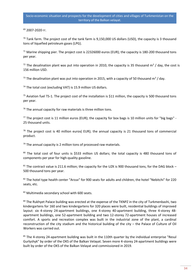<sup>69</sup> 2007-2020 гг.

 $70$  Tank farm. The project cost of the tank farm is 9.150,000 US dollars (USD), the capacity is 3 thousand tons of liquefied petroleum gases (LPG).

 $71$  Marine shipping pier. The project cost is 22326000 euros (EUR); the capacity is 180-200 thousand tons per year.

<sup>72</sup> The desalination plant was put into operation in 2010, the capacity is 35 thousand m<sup>3</sup> / day, the cost is 156 million USD.

<sup>73</sup> The desalination plant was put into operation in 2015, with a capacity of 50 thousand m<sup>3</sup> / day.

<sup>74</sup> The total cost (excluding VAT) is 15.9 million US dollars.

 $75$  Aviation fuel TS-1. The project cost of the installation is \$11 million, the capacity is 500 thousand tons per year.

 $76$  The annual capacity for raw materials is three million tons.

77 The project cost is 11 million euros (EUR); the capacity for box bags is 10 million units for "big bags" -25 thousand units.

 $78$  The project cost is 40 million euros( EUR); the annual capacity is 21 thousand tons of commercial product.

 $79$  The annual capacity is 2 million tons of processed raw materials.

80 The total cost of four units is \$533 million US dollars; the total capacity is 480 thousand tons of components per year for high-quality gasoline.

 $81$  The contract value is 211.6 million; the capacity for the UZK is 900 thousand tons, for the DAG block – 500 thousand tons per year.

82 The hotel type health center "Arzuv" for 900 seats for adults and children, the hotel "Nebitchi" for 220 seats, etc.

83 Multimedia secondary school with 600 seats.

84 The Rukhyet Palace building was erected at the expense of the TKNPZ in the city of Turkmenbashi, two kindergartens for 160 and two kindergartens for 320 places were built, residential buildings of improved layout: six 4-storey 24-apartment buildings, one 4-storey 40-apartment building, three 4-storey 48 apartment buildings, one 52-apartment building and two 12-storey 72-apartment houses of increased comfort. A sports and recreation complex was built in the industrial zone of the plant, a cardinal reconstruction of the city stadium and the historical building of the city – the Palace of Culture of Oil Workers was carried out.

 $85$  The 4-storey 24-apartment building was built in the 110th quarter by the individual enterprise "Resul Gurlyshyk" by order of the OKS of the Balkan Velayat. Seven more 4-storey 24-apartment buildings were built by order of the OKS of the Balkan Velayat and commissioned in 2019.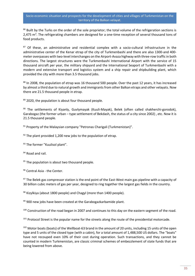86 Built by the Turks on the order of the sole proprietor; the total volume of the refrigeration sections is 2,475 m<sup>3</sup>. The refrigerating chambers are designed for a one-time reception of several thousand tons of food products.

87 Of these, an administrative and residential complex with a socio-cultural infrastructure in the administrative center of the Kenar etrap of the city of Turkmenbashi and there are also 1300-and 400 meter overpasses with two-level interchanges on the Airport-Avaza highway with three-row traffic in both directions. The largest structures were the Turkmenbashi International Airport with the service of 15 thousand aircraft per year, the military shipyard and the International Seaport of Turkmenbashi with a modern and extensive transport and logistics system and a ship repair and shipbuilding plant, which provided the city with more than 3.5 thousand jobs.

88 In 2008, the population of etrap was 16 thousand 500 people. Over the past 12 years, it has increased by almost a third due to natural growth and immigrants from other Balkan etraps and other velayats. Now there are 21.5 thousand people in etrap.

89 2020, the population is about four thousand people.

90 The settlements of Kiyanly, Guvlymayak (Kuuli-Mayak), Belek (often called shakherchi-gorodok), Garabogaz (the former urban – type settlement of Bekdash, the status of a city since 2002) , etc. Now it is 21.5 thousand people.

<sup>91</sup> Property of the Malaysian company "Petronas Charigali (Turkmenistan)".

 $92$  The plant provided 1,200 new jobs to the population of etrap.

93 The former "Kuulisol plant".

<sup>94</sup> Road and rail.

<sup>95</sup> The population is about two thousand people.

96 Central Asia - the Center.

97 The Belek gas compressor station is the end point of the East-West main gas pipeline with a capacity of 30 billion cubic meters of gas per year, designed to ring together the largest gas fields in the country.

98 Kizylkiya (about 1800 people) and Chagyl (more than 1400 people).

 $99$  900 new jobs have been created at the Garabogazkarbamide plant.

<sup>100</sup> Construction of the road began in 2007 and continues to this day on the eastern segment of the road.

<sup>101</sup> Protocol Street is the popular name for the streets along the route of the presidential motorcade.

<sup>102</sup> Motor boats (boats) of the Wellboat-63 brand in the amount of 20 units, including 15 units of the open type and 5 units of the closed type (with a cabin), for a total amount of 1,488,500 US dollars. The "boats" have not recouped even 10% of their cost during operation. Such transactions, and they cannot be counted in modern Turkmenistan, are classic criminal schemes of embezzlement of state funds that are being lowered from above.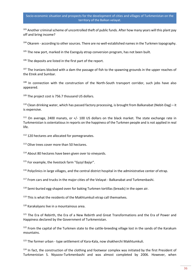103 Another criminal scheme of uncontrolled theft of public funds. After how many years will this plant pay off and bring income?

<sup>104</sup> Okarem - according to other sources. There are no well-established names in the Turkmen topography.

 $105$  The new port, marked in the Esenguly etrap conversion program, has not been built.

<sup>106</sup> The deposits are listed in the first part of the report.

<sup>107</sup> The Iranians blocked with a dam the passage of fish to the spawning grounds in the upper reaches of the Etrek and Sumbar.

 $108$  In connection with the construction of the North-South transport corridor, such jobs have also appeared.

<sup>109</sup> The project cost is 756.7 thousand US dollars.

<sup>110</sup> Clean drinking water, which has passed factory processing, is brought from Balkanabat (Nebit-Dag) – it is expensive.

<sup>111</sup> On average, 2400 manats, or +/- 100 US dollars on the black market. The state exchange rate in Turkmenistan is ostentatious in reports on the happiness of the Turkmen people and is not applied in real life.

 $112$  120 hectares are allocated for pomegranates.

<sup>113</sup> Olive trees cover more than 50 hectares.

<sup>114</sup> About 80 hectares have been given over to vineyards.

<sup>115</sup> For example, the livestock farm "Gyzyl Baýyr".

<sup>116</sup> Polyclinics in large villages, and the central district hospital in the administrative center of etrap.

<sup>117</sup> From cars and trucks in the major cities of the Velayat - Balkanabat and Turkmenbashi.

<sup>118</sup> Semi-buried egg-shaped oven for baking Turkmen tortillas (breads) in the open air.

<sup>119</sup> This is what the residents of the Makhtumkuli etrap call themselves.

<sup>120</sup> Karakalyans live in a mountainous area.

<sup>121</sup> The Era of Rebirth, the Era of a New Rebirth and Great Transformations and the Era of Power and Happiness declared by the Government of Turkmenistan.

<sup>122</sup> From the capital of the Turkmen state to the cattle-breeding village lost in the sands of the Karakum mountains.

 $123$  The former urban - type settlement of Kara-Kala, now shakherchi Makhtumkuli.

 $124$  In fact, the construction of the clothing and footwear complex was initiated by the first President of Turkmenistan S. Niyazov-Turkmenbashi and was almost completed by 2006. However, when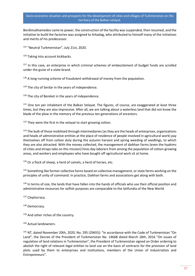Berdimukhamedov came to power, the construction of the facility was suspended, then resumed, and the initiative to build the factories was assigned to Arkadag, who attributed to himself many of the initiatives and merits of his predecessor.

<sup>125</sup> "Neutral Turkmenistan", July 21st, 2020.

<sup>126</sup> Taking into account kickbacks.

 $127$  In this case, an enterprise in which criminal schemes of embezzlement of budget funds are scrolled under the guise of a state brand.

 $128$  A long-running scheme of fraudulent withdrawal of money from the population.

 $129$  The city of Serdar in the years of independence.

<sup>130</sup> The city of Bereket in the years of independence.

<sup>131</sup> One ton per inhabitant of the Balkan Velayat. The figures, of course, are exaggerated at least three times, but they are also impressive. After all, we are talking about a waterless land that did not know the blade of the plow in the memory of the previous ten generations of ancestors.

<sup>132</sup> They were the first in the velayat to start growing cotton.

<sup>133</sup> The bulk of those mobilized through intermediaries (as they are the heads of enterprises, organizations and heads of administrative entities at the place of residence of people involved in agricultural work) pay themselves off from cotton duty during the autumn harvest and spring weeding of seedlings, to which they are also attracted. With the money collected, the management of daikhan farms (even the hyakims of cities and etraps take on this mission) hires day laborers from among the population of cotton-growing areas, and workers and employees who have bought off agricultural work sit at home.

 $134$  Or a flock of sheep, a herd of camels, a herd of horses, etc.

<sup>135</sup> Something like former collective farms based on collective management, or state farms working on the principles of unity of command. In practice, Daikhan farms and associations get along with both.

<sup>136</sup> In terms of size, the lands that have fallen into the hands of officials who use their official position and administrative resources for selfish purposes are comparable to the latifundia of the New World.

137 Cleptocracy.

<sup>138</sup> Democracy.

139 And other riches of the country.

140 Actual landowners.

<sup>141</sup> NT, dated November 20th, 2020, No. 295 (29655): "In accordance with the Code of Turkmenistan "On Land", the Decree of the President of Turkmenistan No. 14668 dated March 18th, 2016 "On issues of regulation of land relations in Turkmenistan", the President of Turkmenistan signed an Order ordering to abolish the right of relevant legal entities to land use on the basis of contracts for the provision of land plots used by them to enterprises and institutions, members of the Union of Industrialists and Entrepreneurs".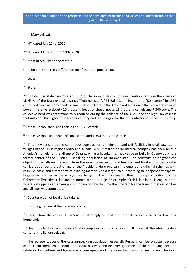<sup>142</sup> In Mary velayat.

<sup>143</sup> NT, dated July 22nd, 2020.

<sup>144</sup> NT, dated April 1st, 6th, 10th, 2020.

<sup>145</sup> Meat breed, like the Saradzhin.

 $146$  In fact, it is the class differentiation of the rural population.

<sup>147</sup> Loser.

148 Store.

<sup>149</sup> In total, the state farm "Kazandzhik" of the same district and three livestock farms in the village of Kizylkiya of the Krasnovodsk district: "Turkmenistan", "26 Baku Commissars" and "Komsomol" in 1982 contained twice as many heads of small cattle. In total, in the Krasnovodsk region in the last years of Soviet power, there were about 420 thousand heads of sheep, goats, 18 thousand camels and 7,500 cows. The collective herd was catastrophically reduced during the collapse of the USSR and the legal lawlessness that unfolded throughout the former country and the struggle for the redistribution of socialist property.

<sup>150</sup> It has 17 thousand small cattle and 1,725 camels.

<sup>151</sup> It has 52 thousand heads of small cattle and 1,350 thousand camels.

<sup>152</sup> This is evidenced by the continuous construction of industrial and civil facilities in small towns and villages of the Tekin regions-Mary and Akhale. A multimillion-dollar medical complex has been built in Arkadag's homeland, the village of Sagant, while a hospital has not yet been built in Krasnovodsk, the former center of the Russian – speaking population of Turkmenistan. The construction of grandiose objects in the villages is exempt from the exacting inspections of financial and legal authorities, as it is carried out under the patronage of the President. Here one can implement any criminal schemes with cash kickbacks and direct theft of building materials on a large scale. According to independent experts, large-scale facilities in the villages are being built with an eye to their future privatization by the Gakhryman (President) clan and his immediate entourage. An example of this is laid in the Esenguly etrap, where a shopping center was put up for auction by the time the program for the transformation of cities and villages was completed.

<sup>153</sup> Counteraction of local bribe takers.

<sup>154</sup> Including natives of the Bereketsky etrap.

 $155$  This is how the coastal Turkmens unflatteringly dubbed the Kazanjik people who arrived in their homeland.

<sup>156</sup> This is due to the strengthening of Tekin people in command positions in Balkanabat, the administrative center of the Balkan velayat.

<sup>157</sup> The representatives of the Russian-speaking population, especially Russians, can be forgotten because of their extremely small population, social passivity and disunity, ignorance of the state language and relatively low culture and literacy as a consequence of the flawed education in secondary schools of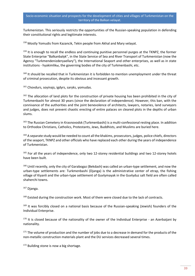Turkmenistan. This seriously restricts the opportunities of the Russian-speaking population in defending their constitutional rights and legitimate interests.

<sup>158</sup> Mostly Yomudis from Kazancik, Tekin people from Akhal and Mary velayat.

<sup>159</sup> It is enough to recall the endless and continuing punitive personnel purges at the TKNPZ, the former State Enterprise "Balkanbalyk", in the State Service of Sea and River Transport of Turkmenistan (now the Agency "Turkmendenizderyaellary"), the International Seaport and other enterprises, as well as in state institutions - hyakimlikы, the governing bodies of the city of Turkmenbashi, etc.

<sup>160</sup> It should be recalled that in Turkmenistan it is forbidden to mention unemployment under the threat of criminal prosecution, despite its obvious and incessant growth.

<sup>161</sup> Chovdurs, soyinajs, igdyrs, saryks, yomudas.

<sup>162</sup> The allocation of land plots for the construction of private housing has been prohibited in the city of Turkmenbashi for almost 30 years (since the declaration of independence). However, this ban, with the connivance of the authorities and the joint benevolence of architects, lawyers, notaries, land surveyors and judges, does not prevent chaotic erecting of entire palaces on cleared plots in the depths of urban slums.

163 The Russian Cemetery in Krasnovodsk (Turkmenbashi) is a multi-confessional resting place. In addition to Orthodox Christians, Catholics, Protestants, Jews, Buddhists, and Muslims are buried here.

<sup>164</sup> A separate study would be needed to count all the khakims, prosecutors, judges, police chiefs, directors of the seaport, TKNPZ and other officials who have replaced each other during the years of independence of Turkmenistan.

<sup>165</sup> For all the years of independence, only two 12-storey residential buildings and two 12-storey hotels have been built.

<sup>166</sup> Until recently, only the city of Garabogaz (Bekdash) was called an urban-type settlement, and now the urban-type settlements are: Turkmenbashi (Djanga) is the administrative center of etrap, the fishing village of Kiyanli and the urban-type settlement of Guvlymayak in the Guvlyduz salt field are often called shaherchi towns.

<sup>167</sup> Djanga.

<sup>168</sup> Existed during the construction work. Most of them were closed due to the lack of contracts.

<sup>169</sup> It was forcibly closed on a national basis because of the Russian-speaking (Jewish) founders of the Individual Enterprise.

 $170$  It is closed because of the nationality of the owner of the Individual Enterprise - an Azerbaijani by nationality.

<sup>171</sup> The volume of production and the number of jobs due to a decrease in demand for the products of the non-metallic construction materials plant and the DU services decreased several times.

<sup>172</sup> Building stone is now a big shortage.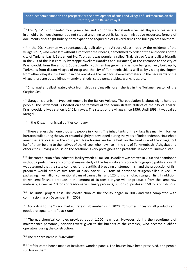<sup>173</sup> This "junk" is not needed by anyone - the land plot on which it stands is valued. Buyers of real estate in an old urban development do not stop at anything to get it. Using administrative resources, forgery of documents or outright bribery, they expand the acquired plots several times and build palaces on them.

174 In the 90s, Kozhman was spontaneously built along the Airport-Akdash road by the residents of the village No. 7, who were left without a roof over their heads, demolished by order of the authorities of the city of Turkmenbashi. Settlement No. 7, or, as it was popularly called "Nakhalstroy", was built arbitrarily in the 70s of the last century by steppe dwellers (Kazakhs and Turkmens) at the entrance to the city of Krasnovodsk from the airport. Subsequently, Kozhman has grown and is now being actively built up by Turkmens from distant villages of etrap and the city of Turkmenbashi, as well as by visiting developers from other velayats. It is built up in one row along the road for several kilometers. In the back yards of the village there are outbuildings – tamdyrs, sheds, cattle pens, stables, workshops, etc.

<sup>175</sup> Ship waste (ballast water, etc.) from ships serving offshore fisheries in the Turkmen sector of the Caspian Sea.

 $176$  Garagel is a urban - type settlement in the Balkan Velayat. The population is about eight hundred people. The settlement is located on the territory of the administrative district of the city of Khazar. Krasnovodsk railway station is 140 km away. The status of the village since 1956. Until 1993, it was called Karagel.

177 In the Khazar municipal utilities company.

<sup>178</sup> There are less than one thousand people in Kiyanli. The inhabitants of the village live mainly in former barracks built during the Soviet era and slightly redeveloped during the years of independence. Household amenities are located in the courtyard. New houses are being built on the front side of the village, but half of them belong to the natives of the village, who now live in the city of Turkmenbashi, Ashgabat and other cities. Having a house on the seashore is very prestigious and profitable in modern Turkmenistan.

<sup>179</sup> The construction of an industrial facility worth 42 million US dollars was started in 2008 and abandoned without a preliminary and comprehensive study of the feasibility and socio-demographic justifications. It was assumed that the state complex for the artificial breeding of sturgeon fish and the production of fish products would produce five tons of black caviar, 120 tons of portioned sturgeon fillet in vacuum packaging, five million conventional cans of canned fish and 120 tons of smoked sturgeon fish. In addition, frozen semi-finished products in the amount of 10 tons per year will be produced from the same raw materials, as well as: 10 tons of ready-made culinary products, 30 tons of pickles and 50 tons of fish flour.

 $180$  The initial project cost. The construction of the facility began in 2003 and was completed with commissioning on December 9th, 2009.

<sup>181</sup> According to the "black market" rate of November 29th, 2020. Consumer prices for all products and goods are equal to the "black rate".

 $182$  The gas chemical complex provided about 1,200 new jobs. However, during the recruitment of maintenance personnel, priorities were given to the builders of the complex, who became qualified operators during the construction.

<sup>183</sup> The modern name is "Guvlyduz".

<sup>184</sup> Prefabricated house made of insulated wooden panels. The houses have been preserved, and people still live in them.